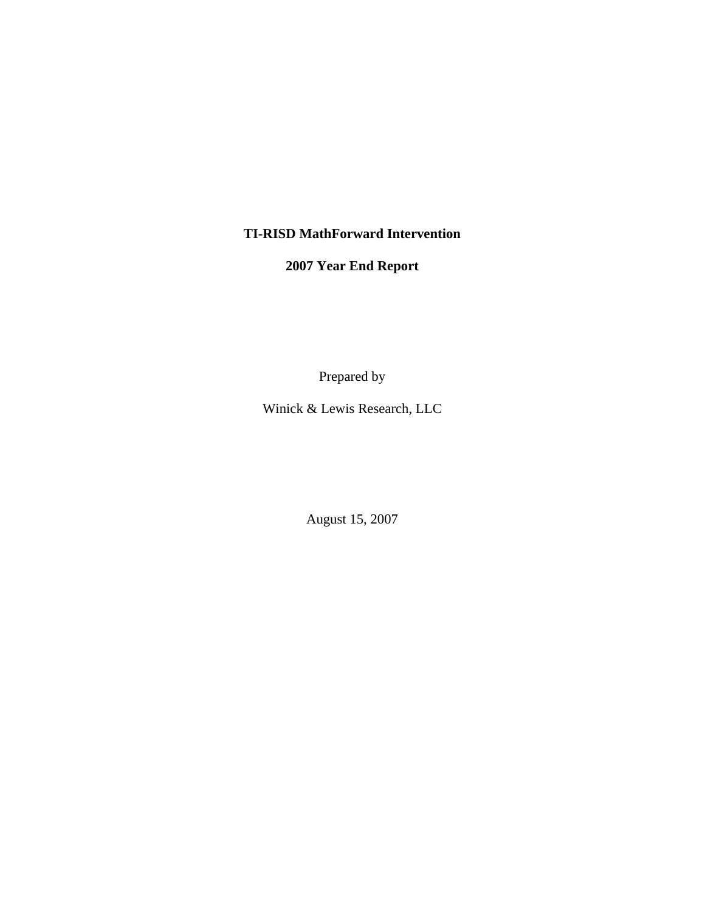# **TI-RISD MathForward Intervention**

**2007 Year End Report** 

Prepared by

Winick & Lewis Research, LLC

August 15, 2007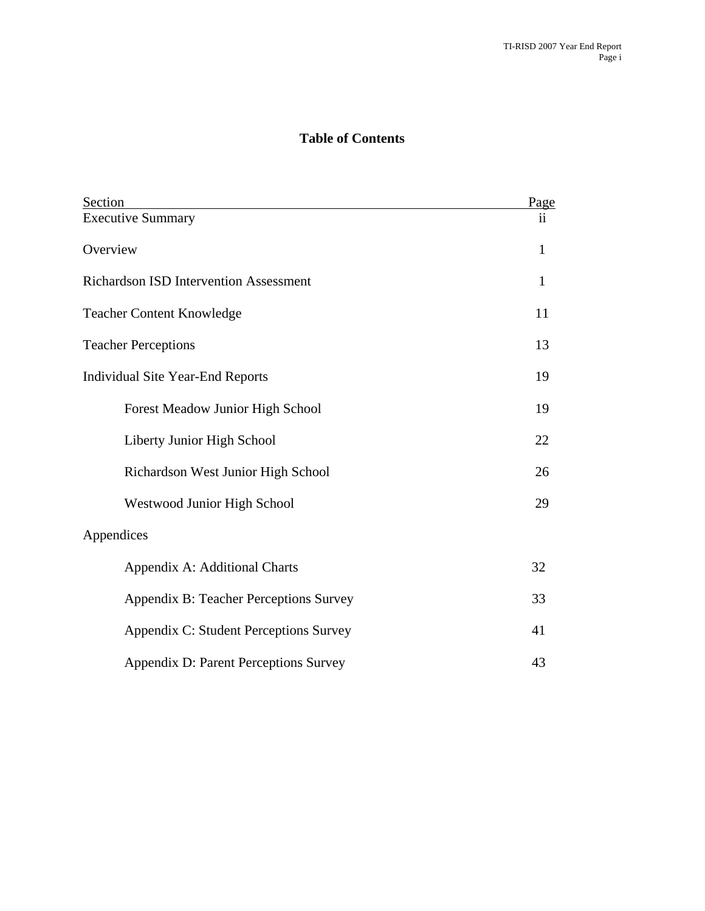## **Table of Contents**

| Section                                       | Page                |
|-----------------------------------------------|---------------------|
| <b>Executive Summary</b>                      | $\ddot{\mathbf{i}}$ |
| Overview                                      | $\mathbf{1}$        |
| <b>Richardson ISD Intervention Assessment</b> | $\mathbf{1}$        |
| <b>Teacher Content Knowledge</b>              | 11                  |
| <b>Teacher Perceptions</b>                    | 13                  |
| <b>Individual Site Year-End Reports</b>       | 19                  |
| Forest Meadow Junior High School              | 19                  |
| Liberty Junior High School                    | 22                  |
| Richardson West Junior High School            | 26                  |
| <b>Westwood Junior High School</b>            | 29                  |
| Appendices                                    |                     |
| Appendix A: Additional Charts                 | 32                  |
| Appendix B: Teacher Perceptions Survey        | 33                  |
| Appendix C: Student Perceptions Survey        | 41                  |
| Appendix D: Parent Perceptions Survey         | 43                  |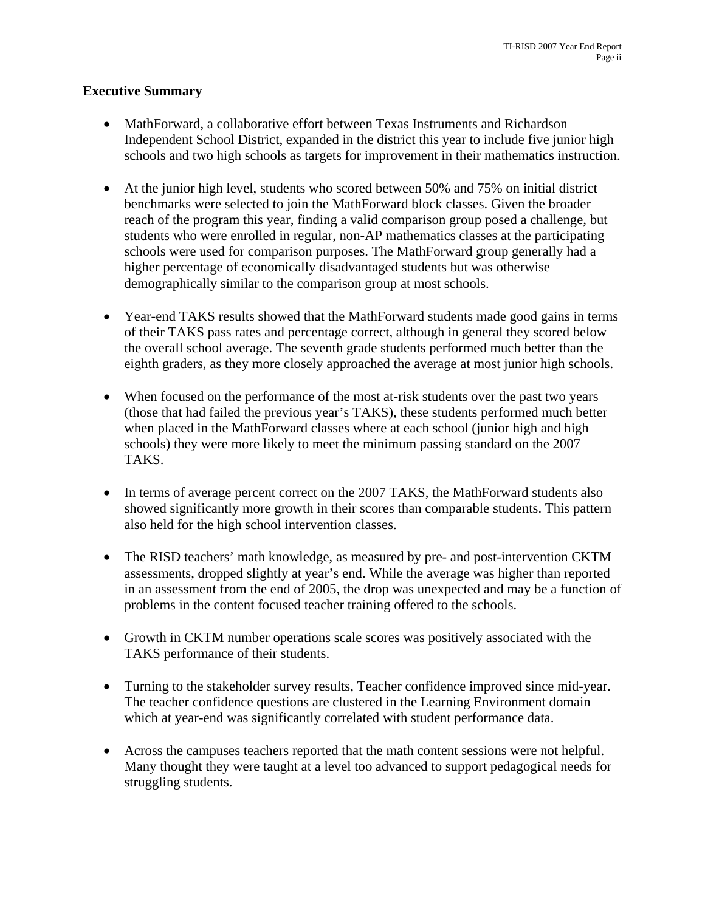### **Executive Summary**

- MathForward, a collaborative effort between Texas Instruments and Richardson Independent School District, expanded in the district this year to include five junior high schools and two high schools as targets for improvement in their mathematics instruction.
- At the junior high level, students who scored between 50% and 75% on initial district benchmarks were selected to join the MathForward block classes. Given the broader reach of the program this year, finding a valid comparison group posed a challenge, but students who were enrolled in regular, non-AP mathematics classes at the participating schools were used for comparison purposes. The MathForward group generally had a higher percentage of economically disadvantaged students but was otherwise demographically similar to the comparison group at most schools.
- Year-end TAKS results showed that the MathForward students made good gains in terms of their TAKS pass rates and percentage correct, although in general they scored below the overall school average. The seventh grade students performed much better than the eighth graders, as they more closely approached the average at most junior high schools.
- When focused on the performance of the most at-risk students over the past two years (those that had failed the previous year's TAKS), these students performed much better when placed in the MathForward classes where at each school (junior high and high schools) they were more likely to meet the minimum passing standard on the 2007 TAKS.
- In terms of average percent correct on the 2007 TAKS, the MathForward students also showed significantly more growth in their scores than comparable students. This pattern also held for the high school intervention classes.
- The RISD teachers' math knowledge, as measured by pre- and post-intervention CKTM assessments, dropped slightly at year's end. While the average was higher than reported in an assessment from the end of 2005, the drop was unexpected and may be a function of problems in the content focused teacher training offered to the schools.
- Growth in CKTM number operations scale scores was positively associated with the TAKS performance of their students.
- Turning to the stakeholder survey results, Teacher confidence improved since mid-year. The teacher confidence questions are clustered in the Learning Environment domain which at year-end was significantly correlated with student performance data.
- Across the campuses teachers reported that the math content sessions were not helpful. Many thought they were taught at a level too advanced to support pedagogical needs for struggling students.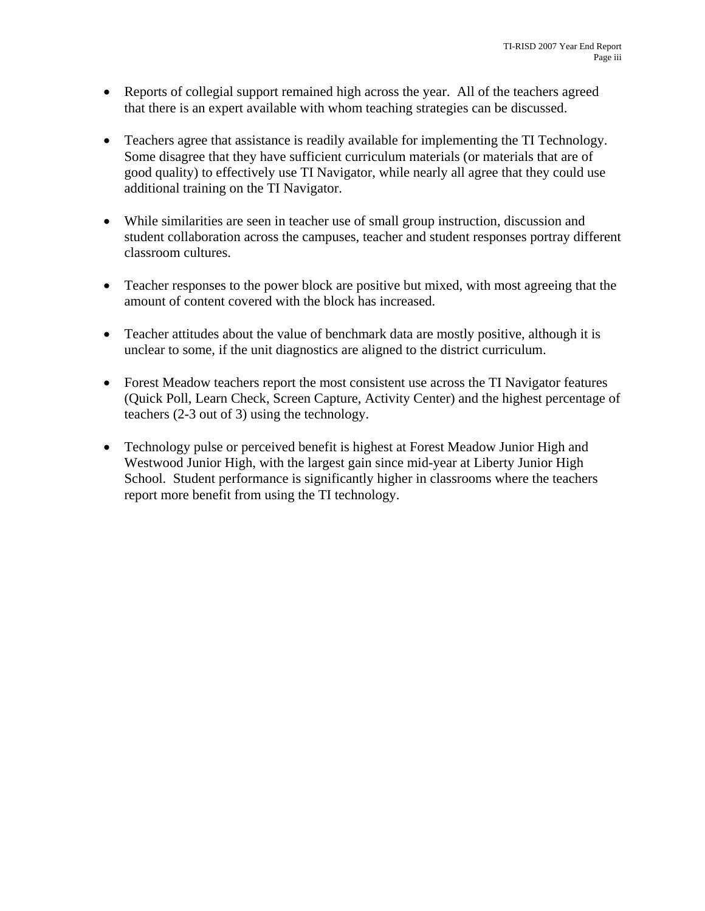- Reports of collegial support remained high across the year. All of the teachers agreed that there is an expert available with whom teaching strategies can be discussed.
- Teachers agree that assistance is readily available for implementing the TI Technology. Some disagree that they have sufficient curriculum materials (or materials that are of good quality) to effectively use TI Navigator, while nearly all agree that they could use additional training on the TI Navigator.
- While similarities are seen in teacher use of small group instruction, discussion and student collaboration across the campuses, teacher and student responses portray different classroom cultures.
- Teacher responses to the power block are positive but mixed, with most agreeing that the amount of content covered with the block has increased.
- Teacher attitudes about the value of benchmark data are mostly positive, although it is unclear to some, if the unit diagnostics are aligned to the district curriculum.
- Forest Meadow teachers report the most consistent use across the TI Navigator features (Quick Poll, Learn Check, Screen Capture, Activity Center) and the highest percentage of teachers (2-3 out of 3) using the technology.
- Technology pulse or perceived benefit is highest at Forest Meadow Junior High and Westwood Junior High, with the largest gain since mid-year at Liberty Junior High School. Student performance is significantly higher in classrooms where the teachers report more benefit from using the TI technology.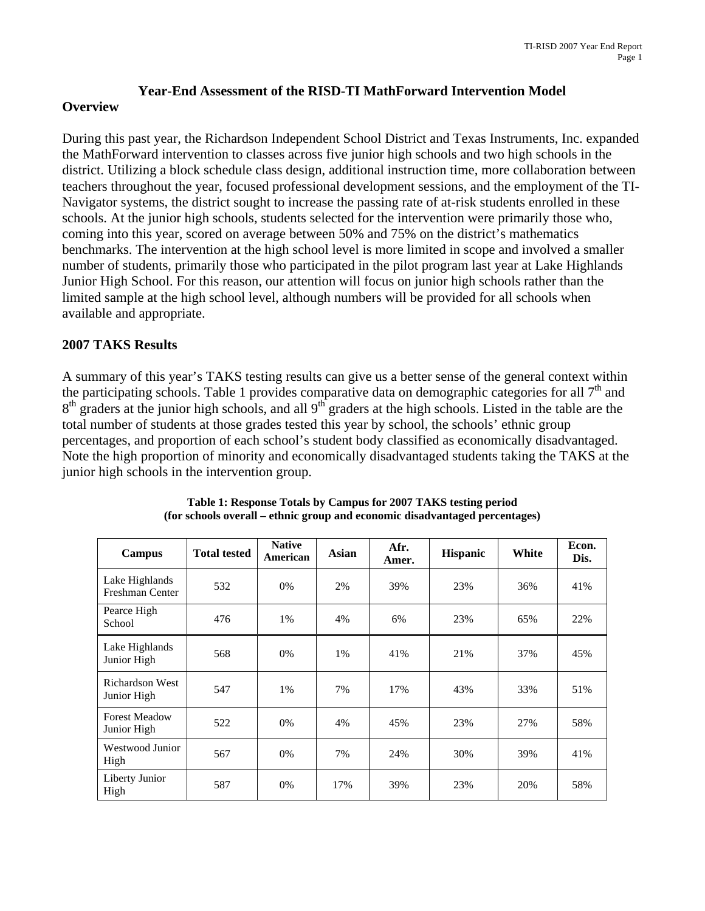#### **Year-End Assessment of the RISD-TI MathForward Intervention Model**

#### **Overview**

During this past year, the Richardson Independent School District and Texas Instruments, Inc. expanded the MathForward intervention to classes across five junior high schools and two high schools in the district. Utilizing a block schedule class design, additional instruction time, more collaboration between teachers throughout the year, focused professional development sessions, and the employment of the TI-Navigator systems, the district sought to increase the passing rate of at-risk students enrolled in these schools. At the junior high schools, students selected for the intervention were primarily those who, coming into this year, scored on average between 50% and 75% on the district's mathematics benchmarks. The intervention at the high school level is more limited in scope and involved a smaller number of students, primarily those who participated in the pilot program last year at Lake Highlands Junior High School. For this reason, our attention will focus on junior high schools rather than the limited sample at the high school level, although numbers will be provided for all schools when available and appropriate.

#### **2007 TAKS Results**

A summary of this year's TAKS testing results can give us a better sense of the general context within the participating schools. Table 1 provides comparative data on demographic categories for all  $7<sup>th</sup>$  and  $8<sup>th</sup>$  graders at the junior high schools, and all 9<sup>th</sup> graders at the high schools. Listed in the table are the total number of students at those grades tested this year by school, the schools' ethnic group percentages, and proportion of each school's student body classified as economically disadvantaged. Note the high proportion of minority and economically disadvantaged students taking the TAKS at the junior high schools in the intervention group.

| Campus                                | <b>Total tested</b> | <b>Native</b><br>American | Asian | Afr.<br>Amer. | <b>Hispanic</b> | White | Econ.<br>Dis. |
|---------------------------------------|---------------------|---------------------------|-------|---------------|-----------------|-------|---------------|
| Lake Highlands<br>Freshman Center     | 532                 | 0%                        | 2%    | 39%           | 23%             | 36%   | 41%           |
| Pearce High<br>School                 | 476                 | 1%                        | 4%    | 6%            | 23%             | 65%   | 22%           |
| Lake Highlands<br>Junior High         | 568                 | 0%                        | 1%    | 41%           | 21%             | 37%   | 45%           |
| <b>Richardson West</b><br>Junior High | 547                 | 1%                        | 7%    | 17%           | 43%             | 33%   | 51%           |
| <b>Forest Meadow</b><br>Junior High   | 522                 | 0%                        | 4%    | 45%           | 23%             | 27%   | 58%           |
| Westwood Junior<br>High               | 567                 | 0%                        | 7%    | 24%           | 30%             | 39%   | 41%           |
| Liberty Junior<br>High                | 587                 | 0%                        | 17%   | 39%           | 23%             | 20%   | 58%           |

**Table 1: Response Totals by Campus for 2007 TAKS testing period (for schools overall – ethnic group and economic disadvantaged percentages)**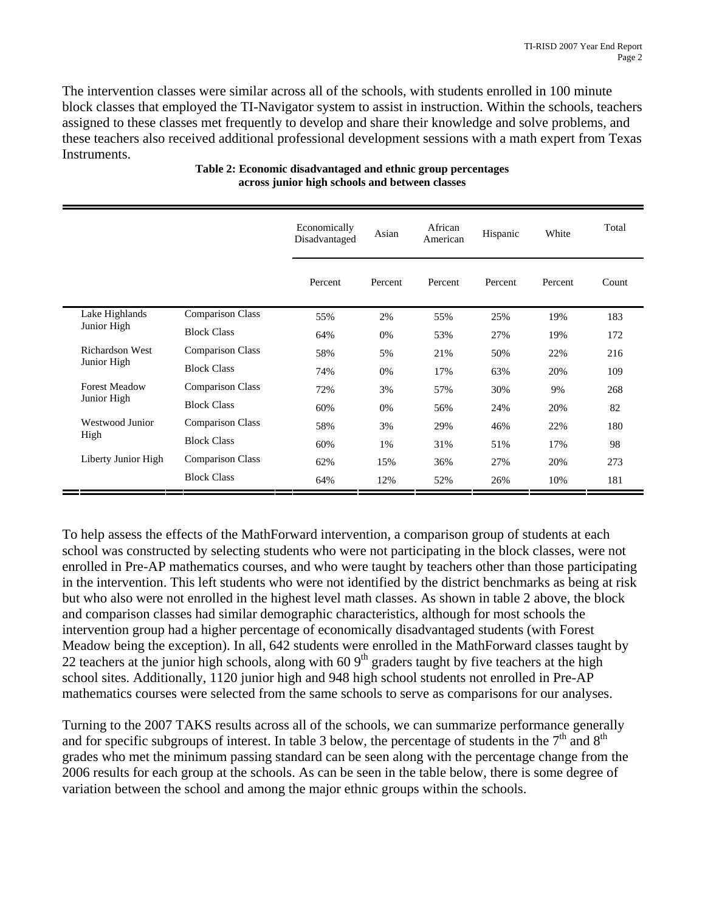The intervention classes were similar across all of the schools, with students enrolled in 100 minute block classes that employed the TI-Navigator system to assist in instruction. Within the schools, teachers assigned to these classes met frequently to develop and share their knowledge and solve problems, and these teachers also received additional professional development sessions with a math expert from Texas Instruments.

|                      |                         | Economically<br>Disadvantaged | Asian   | African<br>American | Hispanic | White   | Total |
|----------------------|-------------------------|-------------------------------|---------|---------------------|----------|---------|-------|
|                      |                         | Percent                       | Percent | Percent             | Percent  | Percent | Count |
| Lake Highlands       | <b>Comparison Class</b> | 55%                           | 2%      | 55%                 | 25%      | 19%     | 183   |
| Junior High          | <b>Block Class</b>      | 64%                           | 0%      | 53%                 | 27%      | 19%     | 172   |
| Richardson West      | <b>Comparison Class</b> | 58%                           | 5%      | 21%                 | 50%      | 22%     | 216   |
| Junior High          | <b>Block Class</b>      | 74%                           | 0%      | 17%                 | 63%      | 20%     | 109   |
| <b>Forest Meadow</b> | <b>Comparison Class</b> | 72%                           | 3%      | 57%                 | 30%      | 9%      | 268   |
| Junior High          | <b>Block Class</b>      | 60%                           | 0%      | 56%                 | 24%      | 20%     | 82    |
| Westwood Junior      | <b>Comparison Class</b> | 58%                           | 3%      | 29%                 | 46%      | 22%     | 180   |
| High                 | <b>Block Class</b>      | 60%                           | 1%      | 31%                 | 51%      | 17%     | 98    |
| Liberty Junior High  | <b>Comparison Class</b> | 62%                           | 15%     | 36%                 | 27%      | 20%     | 273   |
|                      | <b>Block Class</b>      | 64%                           | 12%     | 52%                 | 26%      | 10%     | 181   |

#### **Table 2: Economic disadvantaged and ethnic group percentages across junior high schools and between classes**

To help assess the effects of the MathForward intervention, a comparison group of students at each school was constructed by selecting students who were not participating in the block classes, were not enrolled in Pre-AP mathematics courses, and who were taught by teachers other than those participating in the intervention. This left students who were not identified by the district benchmarks as being at risk but who also were not enrolled in the highest level math classes. As shown in table 2 above, the block and comparison classes had similar demographic characteristics, although for most schools the intervention group had a higher percentage of economically disadvantaged students (with Forest Meadow being the exception). In all, 642 students were enrolled in the MathForward classes taught by 22 teachers at the junior high schools, along with  $60.9<sup>th</sup>$  graders taught by five teachers at the high school sites. Additionally, 1120 junior high and 948 high school students not enrolled in Pre-AP mathematics courses were selected from the same schools to serve as comparisons for our analyses.

Turning to the 2007 TAKS results across all of the schools, we can summarize performance generally and for specific subgroups of interest. In table 3 below, the percentage of students in the  $7<sup>th</sup>$  and  $8<sup>th</sup>$ grades who met the minimum passing standard can be seen along with the percentage change from the 2006 results for each group at the schools. As can be seen in the table below, there is some degree of variation between the school and among the major ethnic groups within the schools.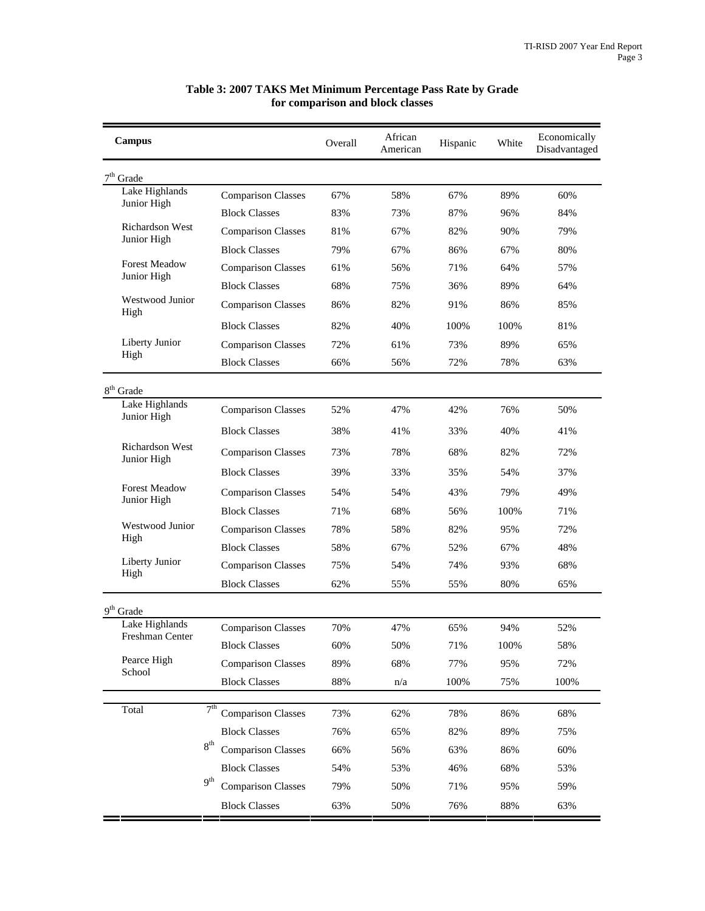| <b>Campus</b>                       |                 |                           | Overall | African<br>American | Hispanic | White | Economically<br>Disadvantaged |
|-------------------------------------|-----------------|---------------------------|---------|---------------------|----------|-------|-------------------------------|
| $7th$ Grade                         |                 |                           |         |                     |          |       |                               |
| Lake Highlands<br>Junior High       |                 | <b>Comparison Classes</b> | 67%     | 58%                 | 67%      | 89%   | 60%                           |
|                                     |                 | <b>Block Classes</b>      | 83%     | 73%                 | 87%      | 96%   | 84%                           |
| Richardson West<br>Junior High      |                 | <b>Comparison Classes</b> | 81%     | 67%                 | 82%      | 90%   | 79%                           |
|                                     |                 | <b>Block Classes</b>      | 79%     | 67%                 | 86%      | 67%   | 80%                           |
| <b>Forest Meadow</b>                |                 | <b>Comparison Classes</b> | 61%     | 56%                 | 71%      | 64%   | 57%                           |
| Junior High                         |                 | <b>Block Classes</b>      | 68%     | 75%                 | 36%      | 89%   | 64%                           |
| Westwood Junior<br>High             |                 | <b>Comparison Classes</b> | 86%     | 82%                 | 91%      | 86%   | 85%                           |
|                                     |                 | <b>Block Classes</b>      | 82%     | 40%                 | 100%     | 100%  | 81%                           |
| Liberty Junior                      |                 | <b>Comparison Classes</b> | 72%     | 61%                 | 73%      | 89%   | 65%                           |
| High                                |                 | <b>Block Classes</b>      | 66%     | 56%                 | 72%      | 78%   | 63%                           |
| $8th$ Grade                         |                 |                           |         |                     |          |       |                               |
| Lake Highlands<br>Junior High       |                 | <b>Comparison Classes</b> | 52%     | 47%                 | 42%      | 76%   | 50%                           |
|                                     |                 | <b>Block Classes</b>      | 38%     | 41%                 | 33%      | 40%   | 41%                           |
| Richardson West<br>Junior High      |                 | <b>Comparison Classes</b> | 73%     | 78%                 | 68%      | 82%   | 72%                           |
|                                     |                 | <b>Block Classes</b>      | 39%     | 33%                 | 35%      | 54%   | 37%                           |
| <b>Forest Meadow</b><br>Junior High |                 | <b>Comparison Classes</b> | 54%     | 54%                 | 43%      | 79%   | 49%                           |
|                                     |                 | <b>Block Classes</b>      | 71%     | 68%                 | 56%      | 100%  | 71%                           |
| Westwood Junior                     |                 | <b>Comparison Classes</b> | 78%     | 58%                 | 82%      | 95%   | 72%                           |
| High                                |                 | <b>Block Classes</b>      | 58%     | 67%                 | 52%      | 67%   | 48%                           |
| Liberty Junior                      |                 | <b>Comparison Classes</b> | 75%     | 54%                 | 74%      | 93%   | 68%                           |
| High                                |                 | <b>Block Classes</b>      | 62%     | 55%                 | 55%      | 80%   | 65%                           |
| $9th$ Grade                         |                 |                           |         |                     |          |       |                               |
| Lake Highlands                      |                 | <b>Comparison Classes</b> | 70%     | 47%                 | 65%      | 94%   | 52%                           |
| Freshman Center                     |                 | <b>Block Classes</b>      | 60%     | 50%                 | 71%      | 100%  | 58%                           |
| Pearce High                         |                 | <b>Comparison Classes</b> | 89%     | 68%                 | 77%      | 95%   | 72%                           |
| School                              |                 | <b>Block Classes</b>      | 88%     | n/a                 | 100%     | 75%   | 100%                          |
|                                     | 7 <sup>th</sup> |                           |         |                     |          |       |                               |
| Total                               |                 | <b>Comparison Classes</b> | 73%     | 62%                 | 78%      | 86%   | 68%                           |
|                                     | 8 <sup>th</sup> | <b>Block Classes</b>      | 76%     | 65%                 | 82%      | 89%   | 75%                           |
|                                     |                 | <b>Comparison Classes</b> | 66%     | 56%                 | 63%      | 86%   | 60%                           |
|                                     | 9 <sup>th</sup> | <b>Block Classes</b>      | 54%     | 53%                 | 46%      | 68%   | 53%                           |
|                                     |                 | <b>Comparison Classes</b> | 79%     | 50%                 | 71%      | 95%   | 59%                           |
|                                     |                 | <b>Block Classes</b>      | 63%     | 50%                 | 76%      | 88%   | 63%                           |

#### **Table 3: 2007 TAKS Met Minimum Percentage Pass Rate by Grade for comparison and block classes**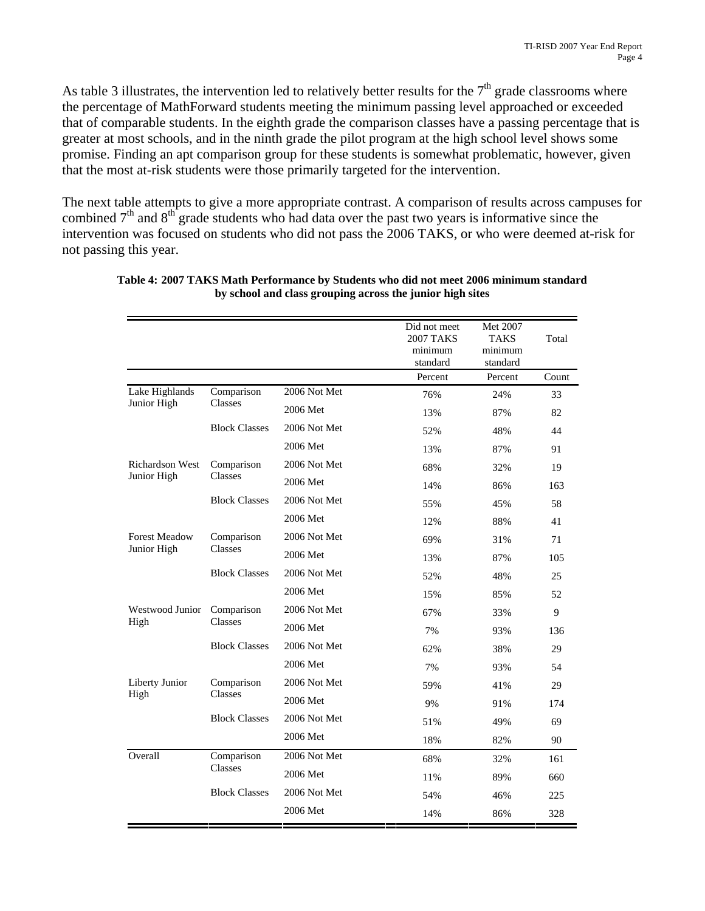As table 3 illustrates, the intervention led to relatively better results for the  $7<sup>th</sup>$  grade classrooms where the percentage of MathForward students meeting the minimum passing level approached or exceeded that of comparable students. In the eighth grade the comparison classes have a passing percentage that is greater at most schools, and in the ninth grade the pilot program at the high school level shows some promise. Finding an apt comparison group for these students is somewhat problematic, however, given that the most at-risk students were those primarily targeted for the intervention.

The next table attempts to give a more appropriate contrast. A comparison of results across campuses for combined  $7<sup>th</sup>$  and  $8<sup>th</sup>$  grade students who had data over the past two years is informative since the intervention was focused on students who did not pass the 2006 TAKS, or who were deemed at-risk for not passing this year.

|                                       |                       |              | Did not meet<br><b>2007 TAKS</b><br>minimum<br>standard | Met 2007<br>TAKS<br>minimum<br>standard | Total |
|---------------------------------------|-----------------------|--------------|---------------------------------------------------------|-----------------------------------------|-------|
|                                       |                       |              | Percent                                                 | Percent                                 | Count |
| Lake Highlands                        | Comparison            | 2006 Not Met | 76%                                                     | 24%                                     | 33    |
| Junior High                           | Classes               | 2006 Met     | 13%                                                     | 87%                                     | 82    |
|                                       | <b>Block Classes</b>  | 2006 Not Met | 52%                                                     | 48%                                     | 44    |
|                                       |                       | 2006 Met     | 13%                                                     | 87%                                     | 91    |
| <b>Richardson West</b><br>Junior High | Comparison            | 2006 Not Met | 68%                                                     | 32%                                     | 19    |
|                                       | <b>Classes</b>        | 2006 Met     | 14%                                                     | 86%                                     | 163   |
|                                       | <b>Block Classes</b>  | 2006 Not Met | 55%                                                     | 45%                                     | 58    |
|                                       |                       | 2006 Met     | 12%                                                     | 88%                                     | 41    |
| <b>Forest Meadow</b><br>Junior High   | Comparison<br>Classes | 2006 Not Met | 69%                                                     | 31%                                     | 71    |
|                                       |                       | 2006 Met     | 13%                                                     | 87%                                     | 105   |
|                                       | <b>Block Classes</b>  | 2006 Not Met | 52%                                                     | 48%                                     | 25    |
|                                       |                       | 2006 Met     | 15%                                                     | 85%                                     | 52    |
| Westwood Junior                       | Comparison<br>Classes | 2006 Not Met | 67%                                                     | 33%                                     | 9     |
| High                                  |                       | 2006 Met     | 7%                                                      | 93%                                     | 136   |
|                                       | <b>Block Classes</b>  | 2006 Not Met | 62%                                                     | 38%                                     | 29    |
|                                       |                       | 2006 Met     | 7%                                                      | 93%                                     | 54    |
| Liberty Junior                        | Comparison            | 2006 Not Met | 59%                                                     | 41%                                     | 29    |
| High                                  | Classes               | 2006 Met     | 9%                                                      | 91%                                     | 174   |
|                                       | <b>Block Classes</b>  | 2006 Not Met | 51%                                                     | 49%                                     | 69    |
|                                       |                       | 2006 Met     | 18%                                                     | 82%                                     | 90    |
| Overall                               | Comparison            | 2006 Not Met | 68%                                                     | 32%                                     | 161   |
|                                       | Classes               | 2006 Met     | 11%                                                     | 89%                                     | 660   |
|                                       | <b>Block Classes</b>  | 2006 Not Met | 54%                                                     | 46%                                     | 225   |
|                                       |                       | 2006 Met     | 14%                                                     | 86%                                     | 328   |

**Table 4: 2007 TAKS Math Performance by Students who did not meet 2006 minimum standard by school and class grouping across the junior high sites**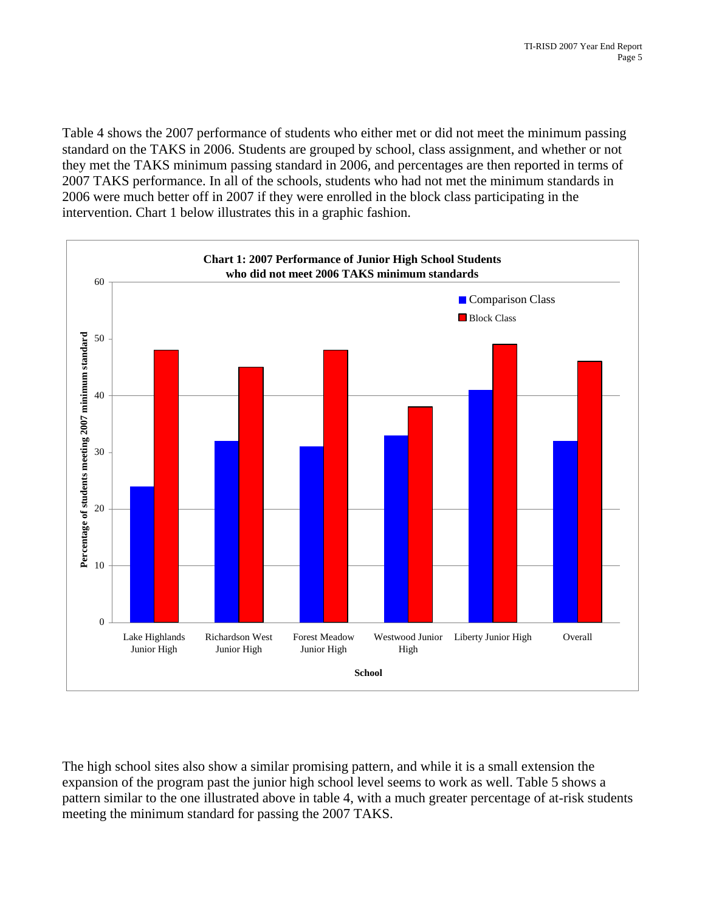Table 4 shows the 2007 performance of students who either met or did not meet the minimum passing standard on the TAKS in 2006. Students are grouped by school, class assignment, and whether or not they met the TAKS minimum passing standard in 2006, and percentages are then reported in terms of 2007 TAKS performance. In all of the schools, students who had not met the minimum standards in 2006 were much better off in 2007 if they were enrolled in the block class participating in the intervention. Chart 1 below illustrates this in a graphic fashion.



The high school sites also show a similar promising pattern, and while it is a small extension the expansion of the program past the junior high school level seems to work as well. Table 5 shows a pattern similar to the one illustrated above in table 4, with a much greater percentage of at-risk students meeting the minimum standard for passing the 2007 TAKS.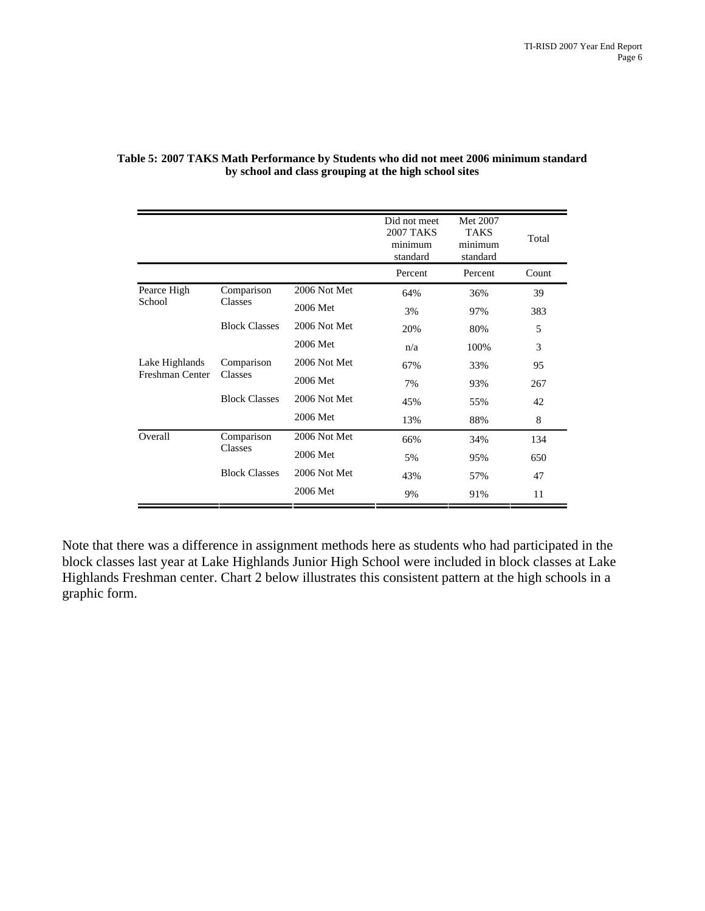|                       |                       |              | Did not meet<br><b>2007 TAKS</b><br>minimum<br>standard | Met 2007<br><b>TAKS</b><br>minimum<br>standard | Total |
|-----------------------|-----------------------|--------------|---------------------------------------------------------|------------------------------------------------|-------|
|                       |                       |              | Percent                                                 | Percent                                        | Count |
| Pearce High<br>School | Comparison            | 2006 Not Met | 64%                                                     | 36%                                            | 39    |
|                       | Classes               | 2006 Met     | 3%                                                      | 97%                                            | 383   |
|                       | <b>Block Classes</b>  | 2006 Not Met | 20%                                                     | 80%                                            | 5     |
|                       |                       | 2006 Met     | n/a                                                     | 100%                                           | 3     |
| Lake Highlands        | Comparison<br>Classes | 2006 Not Met | 67%                                                     | 33%                                            | 95    |
| Freshman Center       |                       | 2006 Met     | 7%                                                      | 93%                                            | 267   |
|                       | <b>Block Classes</b>  | 2006 Not Met | 45%                                                     | 55%                                            | 42    |
|                       |                       | 2006 Met     | 13%                                                     | 88%                                            | 8     |
| Overall               | Comparison            | 2006 Not Met | 66%                                                     | 34%                                            | 134   |
|                       | Classes               | 2006 Met     | 5%                                                      | 95%                                            | 650   |
|                       | <b>Block Classes</b>  | 2006 Not Met | 43%                                                     | 57%                                            | 47    |
|                       |                       | 2006 Met     | 9%                                                      | 91%                                            | 11    |

#### **Table 5: 2007 TAKS Math Performance by Students who did not meet 2006 minimum standard by school and class grouping at the high school sites**

Note that there was a difference in assignment methods here as students who had participated in the block classes last year at Lake Highlands Junior High School were included in block classes at Lake Highlands Freshman center. Chart 2 below illustrates this consistent pattern at the high schools in a graphic form.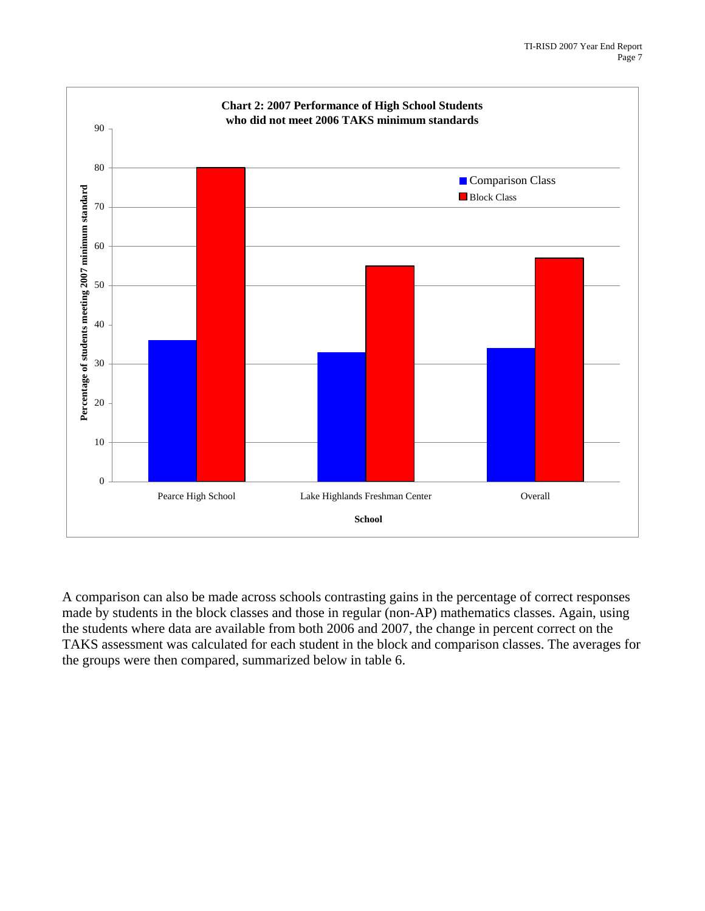

A comparison can also be made across schools contrasting gains in the percentage of correct responses made by students in the block classes and those in regular (non-AP) mathematics classes. Again, using the students where data are available from both 2006 and 2007, the change in percent correct on the TAKS assessment was calculated for each student in the block and comparison classes. The averages for the groups were then compared, summarized below in table 6.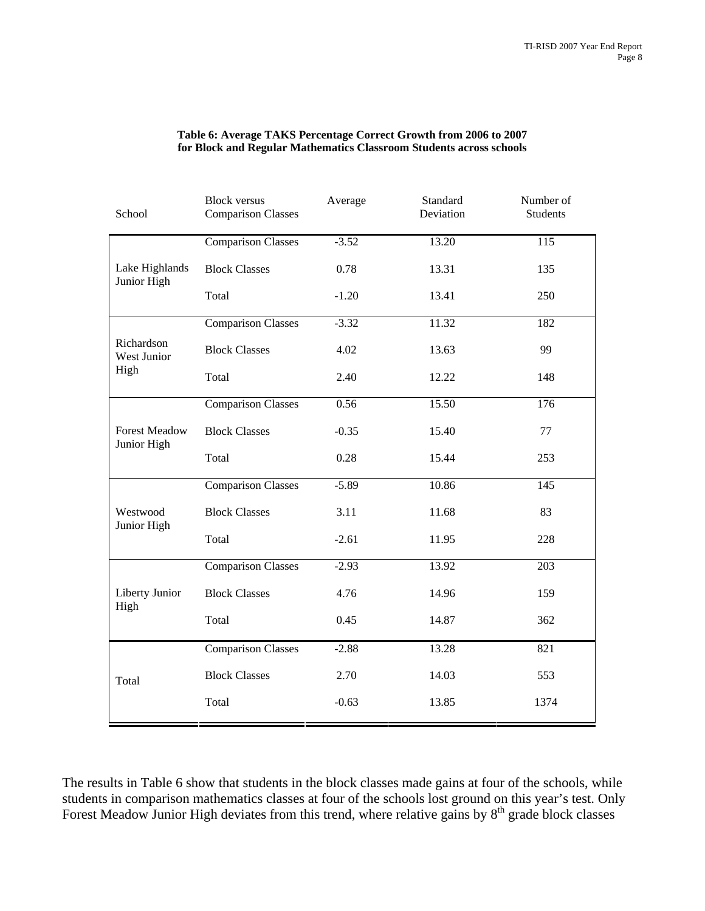| School                              | Standard<br><b>Block versus</b><br>Average<br>Deviation<br><b>Comparison Classes</b> |         | Number of<br><b>Students</b> |      |
|-------------------------------------|--------------------------------------------------------------------------------------|---------|------------------------------|------|
|                                     | <b>Comparison Classes</b>                                                            | $-3.52$ | 13.20                        | 115  |
| Lake Highlands<br>Junior High       | <b>Block Classes</b>                                                                 | 0.78    | 13.31                        | 135  |
|                                     | Total                                                                                | $-1.20$ | 13.41                        | 250  |
|                                     | <b>Comparison Classes</b>                                                            | $-3.32$ | 11.32                        | 182  |
| Richardson<br>West Junior           | <b>Block Classes</b>                                                                 | 4.02    | 13.63                        | 99   |
| High                                | Total                                                                                | 2.40    | 12.22                        | 148  |
|                                     | <b>Comparison Classes</b>                                                            | 0.56    | 15.50                        | 176  |
| <b>Forest Meadow</b><br>Junior High | <b>Block Classes</b>                                                                 | $-0.35$ | 15.40                        | 77   |
|                                     | Total                                                                                | 0.28    | 15.44                        | 253  |
|                                     | <b>Comparison Classes</b>                                                            | $-5.89$ | 10.86                        | 145  |
| Westwood<br>Junior High             | <b>Block Classes</b>                                                                 | 3.11    | 11.68                        | 83   |
|                                     | Total                                                                                | $-2.61$ | 11.95                        | 228  |
|                                     | <b>Comparison Classes</b>                                                            | $-2.93$ | 13.92                        | 203  |
| Liberty Junior                      | <b>Block Classes</b>                                                                 | 4.76    | 14.96                        | 159  |
| High                                | Total                                                                                | 0.45    | 14.87                        | 362  |
|                                     | <b>Comparison Classes</b>                                                            | $-2.88$ | 13.28                        | 821  |
| Total                               | <b>Block Classes</b>                                                                 | 2.70    | 14.03                        | 553  |
|                                     | Total                                                                                | $-0.63$ | 13.85                        | 1374 |

#### **Table 6: Average TAKS Percentage Correct Growth from 2006 to 2007 for Block and Regular Mathematics Classroom Students across schools**

The results in Table 6 show that students in the block classes made gains at four of the schools, while students in comparison mathematics classes at four of the schools lost ground on this year's test. Only Forest Meadow Junior High deviates from this trend, where relative gains by  $8<sup>th</sup>$  grade block classes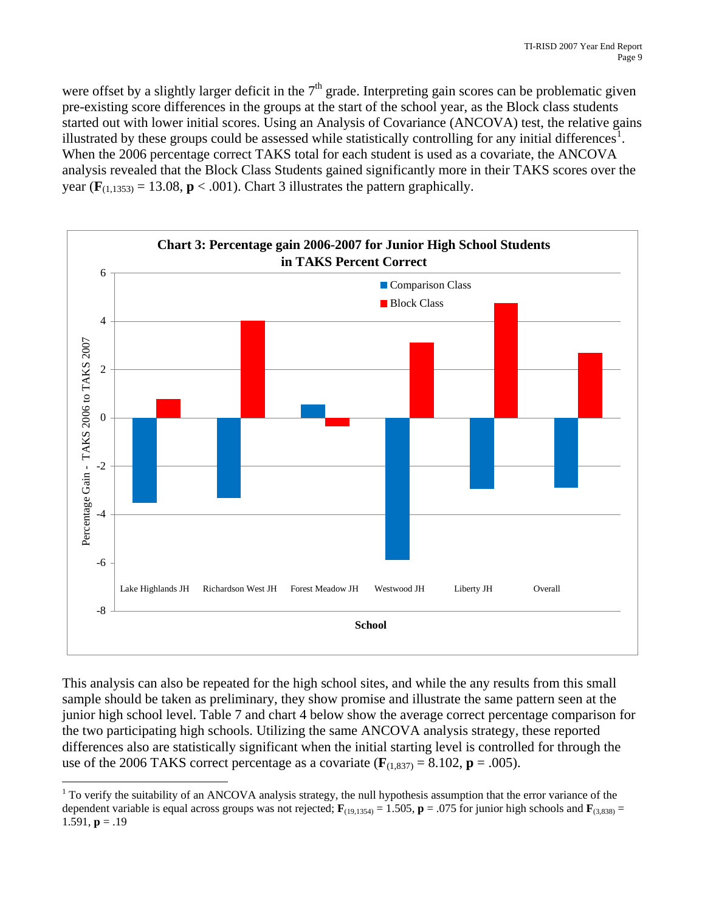were offset by a slightly larger deficit in the  $7<sup>th</sup>$  grade. Interpreting gain scores can be problematic given pre-existing score differences in the groups at the start of the school year, as the Block class students started out with lower initial scores. Using an Analysis of Covariance (ANCOVA) test, the relative gains illustrated by these groups could be assessed while statistically controlling for any initial differences<sup>[1](#page-12-0)</sup>. When the 2006 percentage correct TAKS total for each student is used as a covariate, the ANCOVA analysis revealed that the Block Class Students gained significantly more in their TAKS scores over the year  $(\mathbf{F}_{(1,1353)} = 13.08, \mathbf{p} < .001)$ . Chart 3 illustrates the pattern graphically.



This analysis can also be repeated for the high school sites, and while the any results from this small sample should be taken as preliminary, they show promise and illustrate the same pattern seen at the junior high school level. Table 7 and chart 4 below show the average correct percentage comparison for the two participating high schools. Utilizing the same ANCOVA analysis strategy, these reported differences also are statistically significant when the initial starting level is controlled for through the use of the 2006 TAKS correct percentage as a covariate  $(\mathbf{F}_{(1,837)} = 8.102, \mathbf{p} = .005)$ .

<span id="page-12-0"></span> $\overline{a}$  $1$  To verify the suitability of an ANCOVA analysis strategy, the null hypothesis assumption that the error variance of the dependent variable is equal across groups was not rejected;  $\mathbf{F}_{(19,1354)} = 1.505$ ,  $\mathbf{p} = .075$  for junior high schools and  $\mathbf{F}_{(3,838)} =$ 1.591,  $p = .19$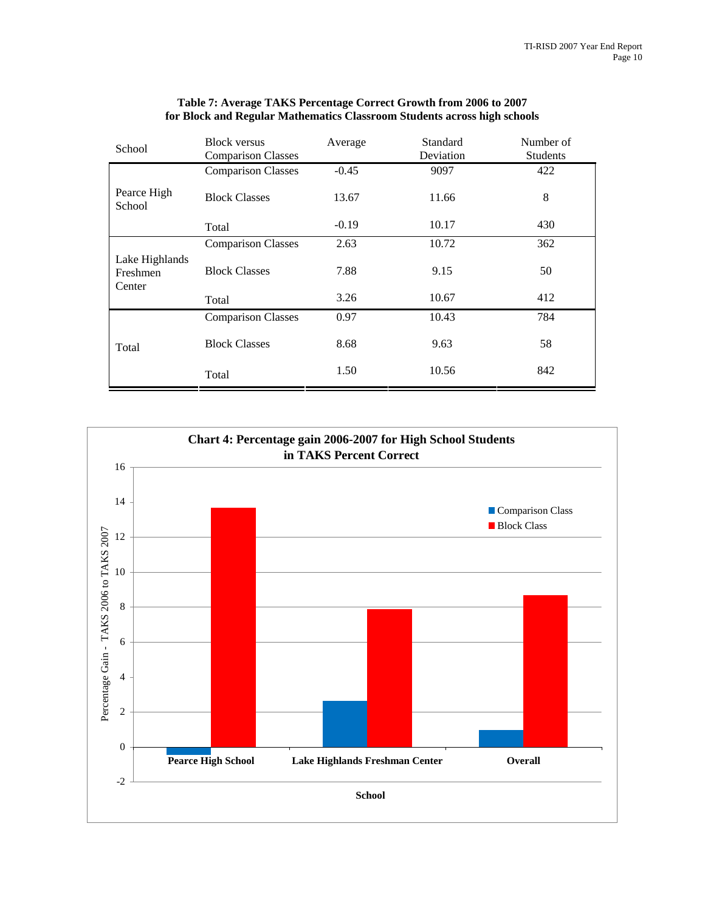| School                               | <b>Block versus</b>       | Average |           | Number of       |
|--------------------------------------|---------------------------|---------|-----------|-----------------|
|                                      | <b>Comparison Classes</b> |         | Deviation | <b>Students</b> |
|                                      | <b>Comparison Classes</b> | $-0.45$ | 9097      | 422             |
| Pearce High<br>School                | <b>Block Classes</b>      | 13.67   | 11.66     | 8               |
|                                      | Total                     | $-0.19$ | 10.17     | 430             |
|                                      | <b>Comparison Classes</b> | 2.63    | 10.72     | 362             |
| Lake Highlands<br>Freshmen<br>Center | <b>Block Classes</b>      | 7.88    | 9.15      | 50              |
|                                      | Total                     | 3.26    | 10.67     | 412             |
|                                      | <b>Comparison Classes</b> | 0.97    | 10.43     | 784             |
| Total                                | <b>Block Classes</b>      | 8.68    | 9.63      | 58              |
|                                      | Total                     | 1.50    | 10.56     | 842             |

#### **Table 7: Average TAKS Percentage Correct Growth from 2006 to 2007 for Block and Regular Mathematics Classroom Students across high schools**

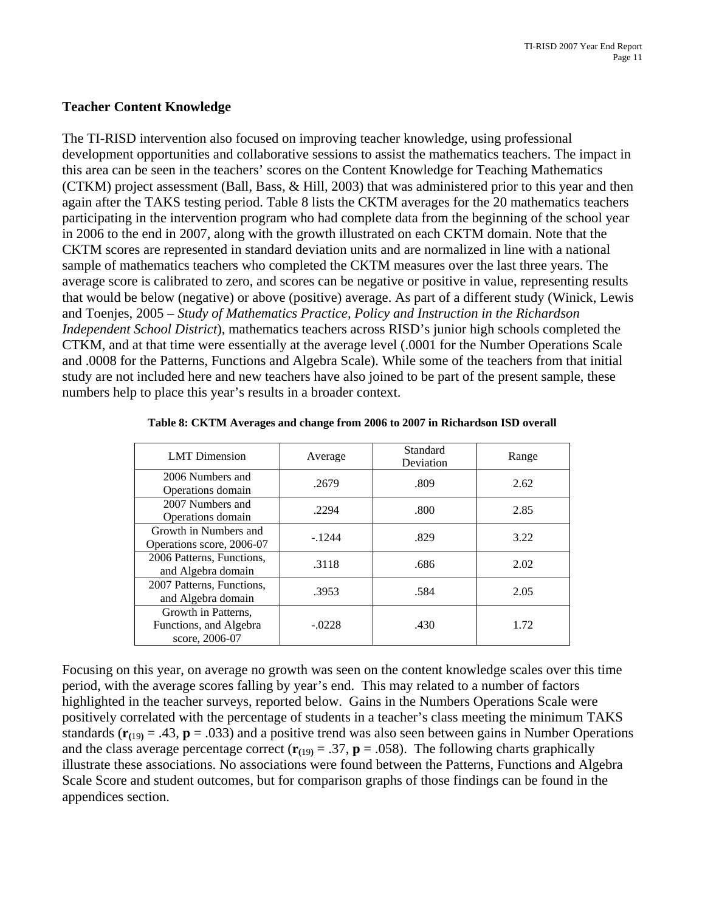#### **Teacher Content Knowledge**

The TI-RISD intervention also focused on improving teacher knowledge, using professional development opportunities and collaborative sessions to assist the mathematics teachers. The impact in this area can be seen in the teachers' scores on the Content Knowledge for Teaching Mathematics (CTKM) project assessment (Ball, Bass, & Hill, 2003) that was administered prior to this year and then again after the TAKS testing period. Table 8 lists the CKTM averages for the 20 mathematics teachers participating in the intervention program who had complete data from the beginning of the school year in 2006 to the end in 2007, along with the growth illustrated on each CKTM domain. Note that the CKTM scores are represented in standard deviation units and are normalized in line with a national sample of mathematics teachers who completed the CKTM measures over the last three years. The average score is calibrated to zero, and scores can be negative or positive in value, representing results that would be below (negative) or above (positive) average. As part of a different study (Winick, Lewis and Toenjes, 2005 – *Study of Mathematics Practice, Policy and Instruction in the Richardson Independent School District*), mathematics teachers across RISD's junior high schools completed the CTKM, and at that time were essentially at the average level (.0001 for the Number Operations Scale and .0008 for the Patterns, Functions and Algebra Scale). While some of the teachers from that initial study are not included here and new teachers have also joined to be part of the present sample, these numbers help to place this year's results in a broader context.

| <b>LMT</b> Dimension                                            | Average  | Standard<br>Deviation | Range |
|-----------------------------------------------------------------|----------|-----------------------|-------|
| 2006 Numbers and<br>Operations domain                           | .2679    | .809                  | 2.62  |
| 2007 Numbers and<br>Operations domain                           | .2294    | .800                  | 2.85  |
| Growth in Numbers and<br>Operations score, 2006-07              | $-1244$  | .829                  | 3.22  |
| 2006 Patterns, Functions,<br>and Algebra domain                 | .3118    | .686                  | 2.02  |
| 2007 Patterns, Functions,<br>and Algebra domain                 | .3953    | .584                  | 2.05  |
| Growth in Patterns,<br>Functions, and Algebra<br>score, 2006-07 | $-.0228$ | .430                  | 1.72  |

Focusing on this year, on average no growth was seen on the content knowledge scales over this time period, with the average scores falling by year's end. This may related to a number of factors highlighted in the teacher surveys, reported below. Gains in the Numbers Operations Scale were positively correlated with the percentage of students in a teacher's class meeting the minimum TAKS standards ( $\mathbf{r}_{(19)} = .43$ ,  $\mathbf{p} = .033$ ) and a positive trend was also seen between gains in Number Operations and the class average percentage correct ( $\mathbf{r}_{(19)} = .37$ ,  $\mathbf{p} = .058$ ). The following charts graphically illustrate these associations. No associations were found between the Patterns, Functions and Algebra Scale Score and student outcomes, but for comparison graphs of those findings can be found in the appendices section.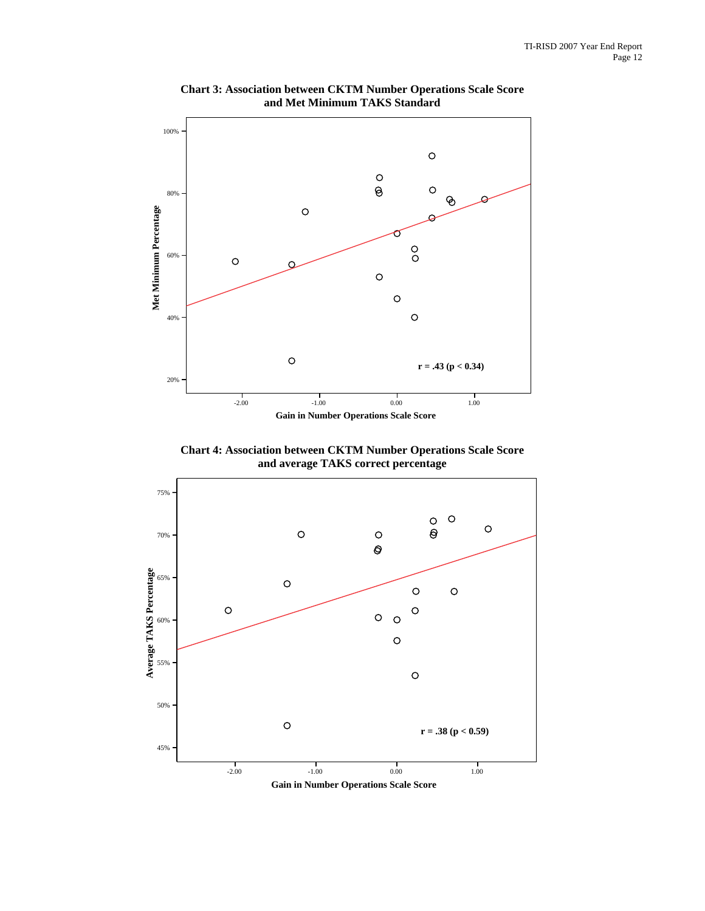

**Chart 3: Association between CKTM Number Operations Scale Score and Met Minimum TAKS Standard**

**Chart 4: Association between CKTM Number Operations Scale Score and average TAKS correct percentage**



**Gain in Number Operations Scale Score**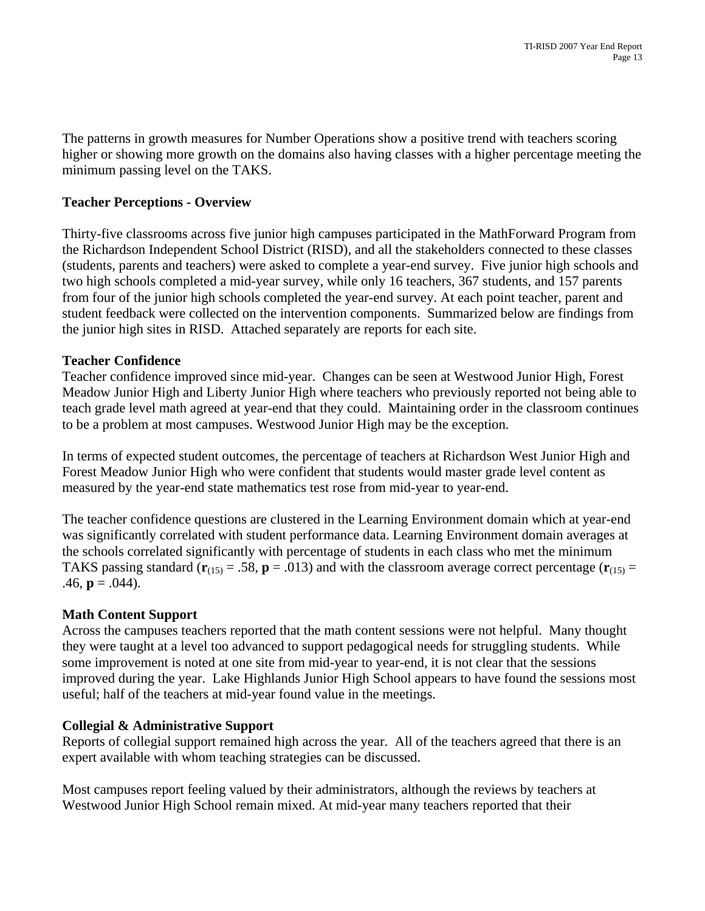The patterns in growth measures for Number Operations show a positive trend with teachers scoring higher or showing more growth on the domains also having classes with a higher percentage meeting the minimum passing level on the TAKS.

### **Teacher Perceptions - Overview**

Thirty-five classrooms across five junior high campuses participated in the MathForward Program from the Richardson Independent School District (RISD), and all the stakeholders connected to these classes (students, parents and teachers) were asked to complete a year-end survey. Five junior high schools and two high schools completed a mid-year survey, while only 16 teachers, 367 students, and 157 parents from four of the junior high schools completed the year-end survey. At each point teacher, parent and student feedback were collected on the intervention components. Summarized below are findings from the junior high sites in RISD. Attached separately are reports for each site.

### **Teacher Confidence**

Teacher confidence improved since mid-year. Changes can be seen at Westwood Junior High, Forest Meadow Junior High and Liberty Junior High where teachers who previously reported not being able to teach grade level math agreed at year-end that they could. Maintaining order in the classroom continues to be a problem at most campuses. Westwood Junior High may be the exception.

In terms of expected student outcomes, the percentage of teachers at Richardson West Junior High and Forest Meadow Junior High who were confident that students would master grade level content as measured by the year-end state mathematics test rose from mid-year to year-end.

The teacher confidence questions are clustered in the Learning Environment domain which at year-end was significantly correlated with student performance data. Learning Environment domain averages at the schools correlated significantly with percentage of students in each class who met the minimum TAKS passing standard ( $\mathbf{r}_{(15)} = .58$ ,  $\mathbf{p} = .013$ ) and with the classroom average correct percentage ( $\mathbf{r}_{(15)} =$ .46,  $\mathbf{p} = .044$ ).

#### **Math Content Support**

Across the campuses teachers reported that the math content sessions were not helpful. Many thought they were taught at a level too advanced to support pedagogical needs for struggling students. While some improvement is noted at one site from mid-year to year-end, it is not clear that the sessions improved during the year. Lake Highlands Junior High School appears to have found the sessions most useful; half of the teachers at mid-year found value in the meetings.

#### **Collegial & Administrative Support**

Reports of collegial support remained high across the year. All of the teachers agreed that there is an expert available with whom teaching strategies can be discussed.

Most campuses report feeling valued by their administrators, although the reviews by teachers at Westwood Junior High School remain mixed. At mid-year many teachers reported that their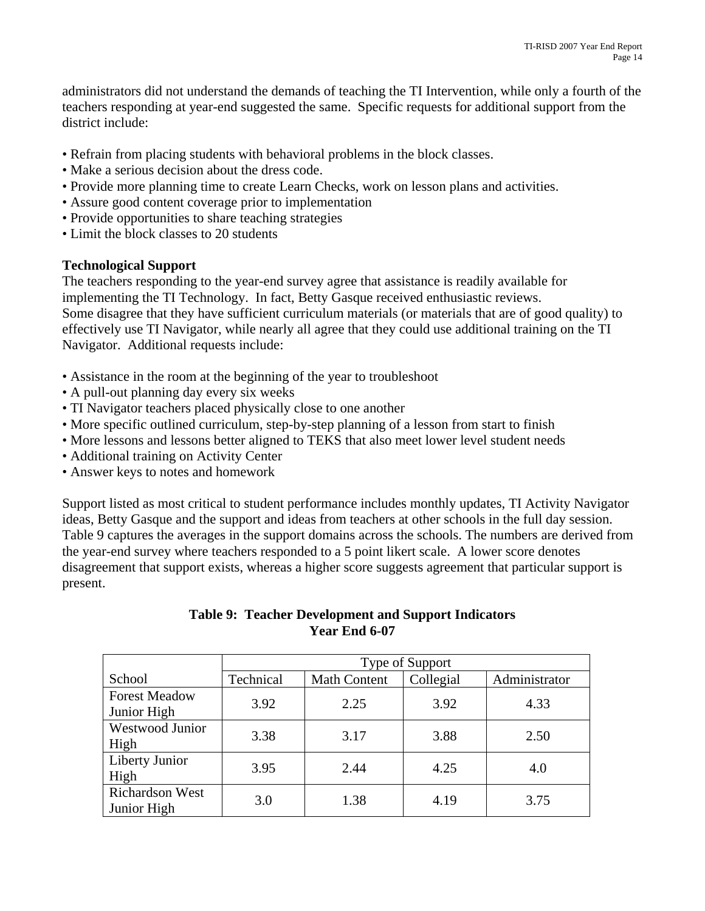administrators did not understand the demands of teaching the TI Intervention, while only a fourth of the teachers responding at year-end suggested the same. Specific requests for additional support from the district include:

- Refrain from placing students with behavioral problems in the block classes.
- Make a serious decision about the dress code.
- Provide more planning time to create Learn Checks, work on lesson plans and activities.
- Assure good content coverage prior to implementation
- Provide opportunities to share teaching strategies
- Limit the block classes to 20 students

## **Technological Support**

The teachers responding to the year-end survey agree that assistance is readily available for implementing the TI Technology. In fact, Betty Gasque received enthusiastic reviews. Some disagree that they have sufficient curriculum materials (or materials that are of good quality) to effectively use TI Navigator, while nearly all agree that they could use additional training on the TI Navigator. Additional requests include:

- Assistance in the room at the beginning of the year to troubleshoot
- A pull-out planning day every six weeks
- TI Navigator teachers placed physically close to one another
- More specific outlined curriculum, step-by-step planning of a lesson from start to finish
- More lessons and lessons better aligned to TEKS that also meet lower level student needs
- Additional training on Activity Center
- Answer keys to notes and homework

Support listed as most critical to student performance includes monthly updates, TI Activity Navigator ideas, Betty Gasque and the support and ideas from teachers at other schools in the full day session. Table 9 captures the averages in the support domains across the schools. The numbers are derived from the year-end survey where teachers responded to a 5 point likert scale. A lower score denotes disagreement that support exists, whereas a higher score suggests agreement that particular support is present.

### **Table 9: Teacher Development and Support Indicators Year End 6-07**

|                                       | Type of Support |                     |           |               |  |  |
|---------------------------------------|-----------------|---------------------|-----------|---------------|--|--|
| School                                | Technical       | <b>Math Content</b> | Collegial | Administrator |  |  |
| <b>Forest Meadow</b><br>Junior High   | 3.92            | 2.25                | 3.92      | 4.33          |  |  |
| Westwood Junior<br>High               | 3.38            | 3.17                | 3.88      | 2.50          |  |  |
| Liberty Junior<br>High                | 3.95            | 2.44                | 4.25      | 4.0           |  |  |
| <b>Richardson West</b><br>Junior High | 3.0             | 1.38                | 4.19      | 3.75          |  |  |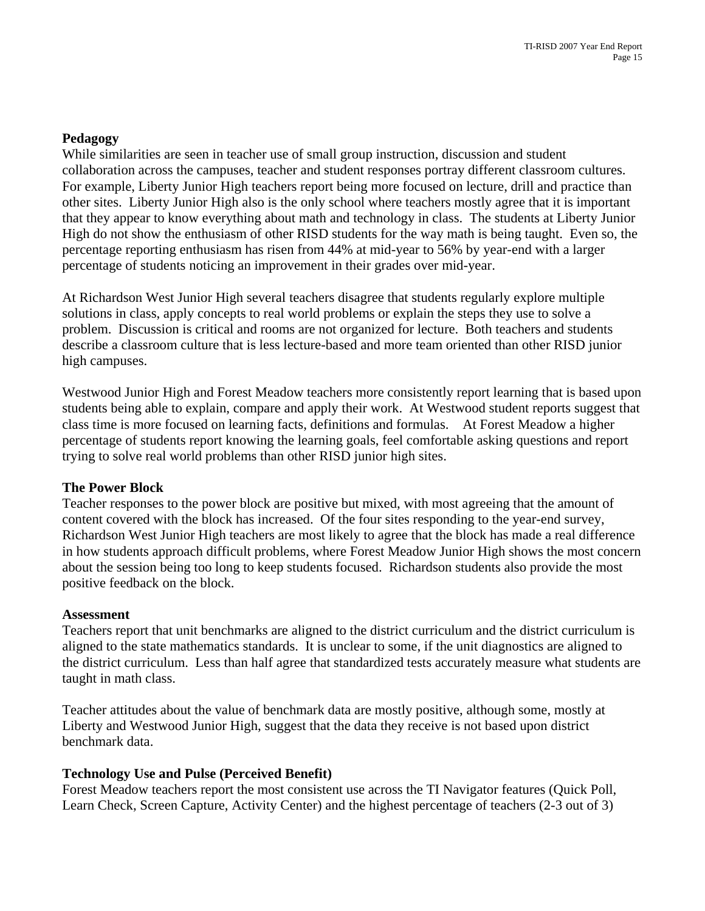### **Pedagogy**

While similarities are seen in teacher use of small group instruction, discussion and student collaboration across the campuses, teacher and student responses portray different classroom cultures. For example, Liberty Junior High teachers report being more focused on lecture, drill and practice than other sites. Liberty Junior High also is the only school where teachers mostly agree that it is important that they appear to know everything about math and technology in class. The students at Liberty Junior High do not show the enthusiasm of other RISD students for the way math is being taught. Even so, the percentage reporting enthusiasm has risen from 44% at mid-year to 56% by year-end with a larger percentage of students noticing an improvement in their grades over mid-year.

At Richardson West Junior High several teachers disagree that students regularly explore multiple solutions in class, apply concepts to real world problems or explain the steps they use to solve a problem. Discussion is critical and rooms are not organized for lecture. Both teachers and students describe a classroom culture that is less lecture-based and more team oriented than other RISD junior high campuses.

Westwood Junior High and Forest Meadow teachers more consistently report learning that is based upon students being able to explain, compare and apply their work. At Westwood student reports suggest that class time is more focused on learning facts, definitions and formulas. At Forest Meadow a higher percentage of students report knowing the learning goals, feel comfortable asking questions and report trying to solve real world problems than other RISD junior high sites.

#### **The Power Block**

Teacher responses to the power block are positive but mixed, with most agreeing that the amount of content covered with the block has increased. Of the four sites responding to the year-end survey, Richardson West Junior High teachers are most likely to agree that the block has made a real difference in how students approach difficult problems, where Forest Meadow Junior High shows the most concern about the session being too long to keep students focused. Richardson students also provide the most positive feedback on the block.

#### **Assessment**

Teachers report that unit benchmarks are aligned to the district curriculum and the district curriculum is aligned to the state mathematics standards. It is unclear to some, if the unit diagnostics are aligned to the district curriculum. Less than half agree that standardized tests accurately measure what students are taught in math class.

Teacher attitudes about the value of benchmark data are mostly positive, although some, mostly at Liberty and Westwood Junior High, suggest that the data they receive is not based upon district benchmark data.

#### **Technology Use and Pulse (Perceived Benefit)**

Forest Meadow teachers report the most consistent use across the TI Navigator features (Quick Poll, Learn Check, Screen Capture, Activity Center) and the highest percentage of teachers (2-3 out of 3)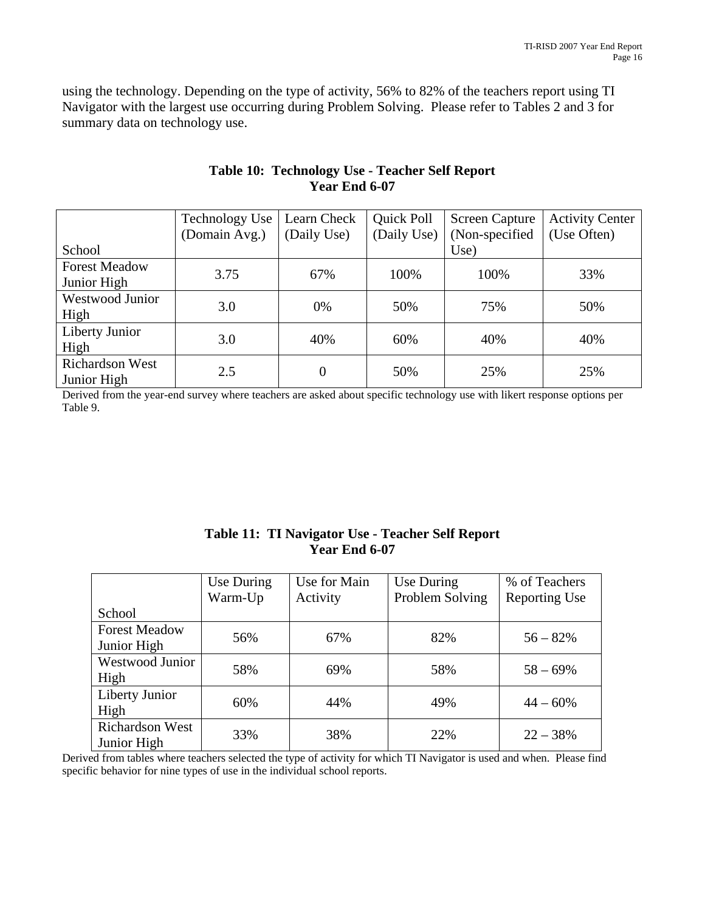using the technology. Depending on the type of activity, 56% to 82% of the teachers report using TI Navigator with the largest use occurring during Problem Solving. Please refer to Tables 2 and 3 for summary data on technology use.

|                                       | <b>Technology Use</b> | Learn Check | Quick Poll  | <b>Screen Capture</b> | <b>Activity Center</b> |
|---------------------------------------|-----------------------|-------------|-------------|-----------------------|------------------------|
|                                       | (Domain Avg.)         | (Daily Use) | (Daily Use) | (Non-specified)       | (Use Often)            |
| School                                |                       |             |             | Use)                  |                        |
| <b>Forest Meadow</b><br>Junior High   | 3.75                  | 67%         | 100%        | 100%                  | 33%                    |
| <b>Westwood Junior</b><br>High        | 3.0                   | 0%          | 50%         | 75%                   | 50%                    |
| Liberty Junior<br>High                | 3.0                   | 40%         | 60%         | 40%                   | 40%                    |
| <b>Richardson West</b><br>Junior High | 2.5                   | 0           | 50%         | 25%                   | 25%                    |

### **Table 10: Technology Use - Teacher Self Report Year End 6-07**

Derived from the year-end survey where teachers are asked about specific technology use with likert response options per Table 9.

|                        | Use During | Use for Main | Use During      | % of Teachers        |
|------------------------|------------|--------------|-----------------|----------------------|
|                        | Warm-Up    | Activity     | Problem Solving | <b>Reporting Use</b> |
| School                 |            |              |                 |                      |
| <b>Forest Meadow</b>   | 56%        | 67%          | 82%             | $56 - 82%$           |
| Junior High            |            |              |                 |                      |
| Westwood Junior        | 58%        | 69%          |                 |                      |
| High                   |            |              | 58%             | $58 - 69\%$          |
| Liberty Junior         | 60%        | 44%          |                 | $44 - 60\%$          |
| High                   |            |              | 49%             |                      |
| <b>Richardson West</b> | 33%        | 38%          | 22%             | $22 - 38%$           |
| Junior High            |            |              |                 |                      |

## **Table 11: TI Navigator Use - Teacher Self Report Year End 6-07**

Derived from tables where teachers selected the type of activity for which TI Navigator is used and when. Please find specific behavior for nine types of use in the individual school reports.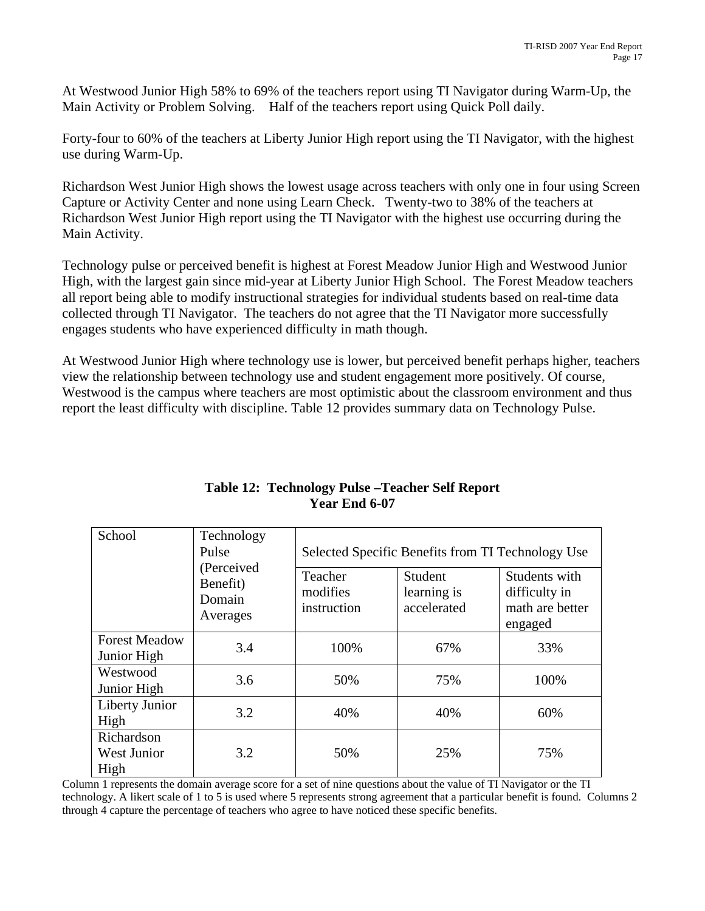At Westwood Junior High 58% to 69% of the teachers report using TI Navigator during Warm-Up, the Main Activity or Problem Solving. Half of the teachers report using Quick Poll daily.

Forty-four to 60% of the teachers at Liberty Junior High report using the TI Navigator, with the highest use during Warm-Up.

Richardson West Junior High shows the lowest usage across teachers with only one in four using Screen Capture or Activity Center and none using Learn Check. Twenty-two to 38% of the teachers at Richardson West Junior High report using the TI Navigator with the highest use occurring during the Main Activity.

Technology pulse or perceived benefit is highest at Forest Meadow Junior High and Westwood Junior High, with the largest gain since mid-year at Liberty Junior High School. The Forest Meadow teachers all report being able to modify instructional strategies for individual students based on real-time data collected through TI Navigator. The teachers do not agree that the TI Navigator more successfully engages students who have experienced difficulty in math though.

At Westwood Junior High where technology use is lower, but perceived benefit perhaps higher, teachers view the relationship between technology use and student engagement more positively. Of course, Westwood is the campus where teachers are most optimistic about the classroom environment and thus report the least difficulty with discipline. Table 12 provides summary data on Technology Pulse.

| School                              | Technology<br>Pulse                          | Selected Specific Benefits from TI Technology Use |                                       |                                                              |  |  |  |  |
|-------------------------------------|----------------------------------------------|---------------------------------------------------|---------------------------------------|--------------------------------------------------------------|--|--|--|--|
|                                     | (Perceived<br>Benefit)<br>Domain<br>Averages | Teacher<br>modifies<br>instruction                | Student<br>learning is<br>accelerated | Students with<br>difficulty in<br>math are better<br>engaged |  |  |  |  |
| <b>Forest Meadow</b><br>Junior High | 3.4                                          | 100%                                              | 67%                                   | 33%                                                          |  |  |  |  |
| Westwood<br>Junior High             | 3.6                                          | 50%                                               | 75%                                   | 100%                                                         |  |  |  |  |
| Liberty Junior<br>High              | 3.2                                          | 40%                                               | 40%                                   | 60%                                                          |  |  |  |  |
| Richardson<br>West Junior<br>High   | 3.2                                          | 50%                                               | 25%                                   | 75%                                                          |  |  |  |  |

## **Table 12: Technology Pulse –Teacher Self Report Year End 6-07**

Column 1 represents the domain average score for a set of nine questions about the value of TI Navigator or the TI technology. A likert scale of 1 to 5 is used where 5 represents strong agreement that a particular benefit is found. Columns 2 through 4 capture the percentage of teachers who agree to have noticed these specific benefits.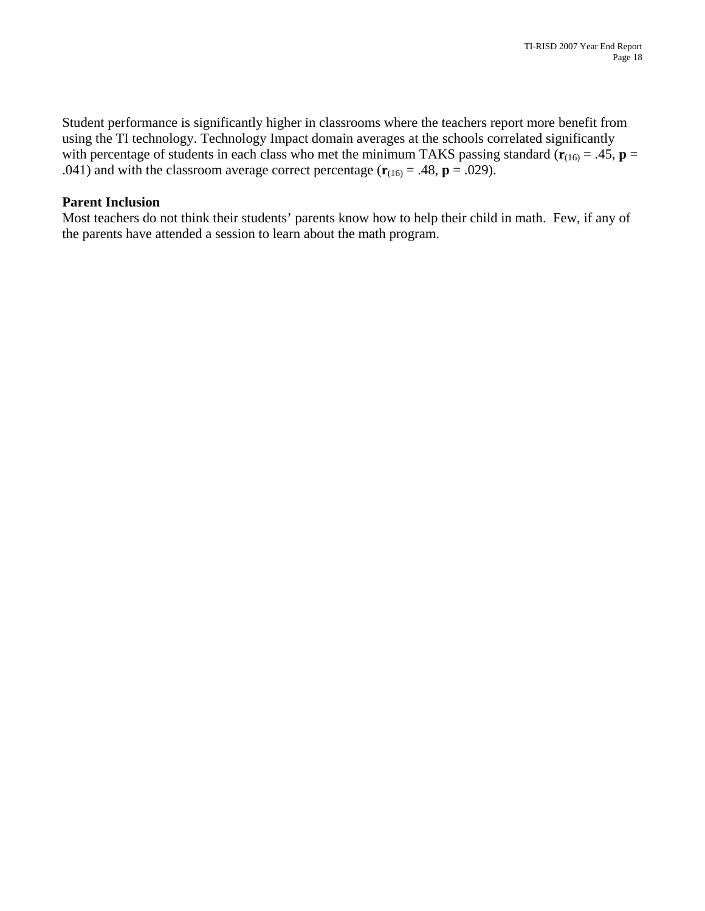Student performance is significantly higher in classrooms where the teachers report more benefit from using the TI technology. Technology Impact domain averages at the schools correlated significantly with percentage of students in each class who met the minimum TAKS passing standard  $(\mathbf{r}_{(16)} = .45, \mathbf{p} =$ .041) and with the classroom average correct percentage  $(\mathbf{r}_{(16)} = .48, \mathbf{p} = .029)$ .

#### **Parent Inclusion**

Most teachers do not think their students' parents know how to help their child in math. Few, if any of the parents have attended a session to learn about the math program.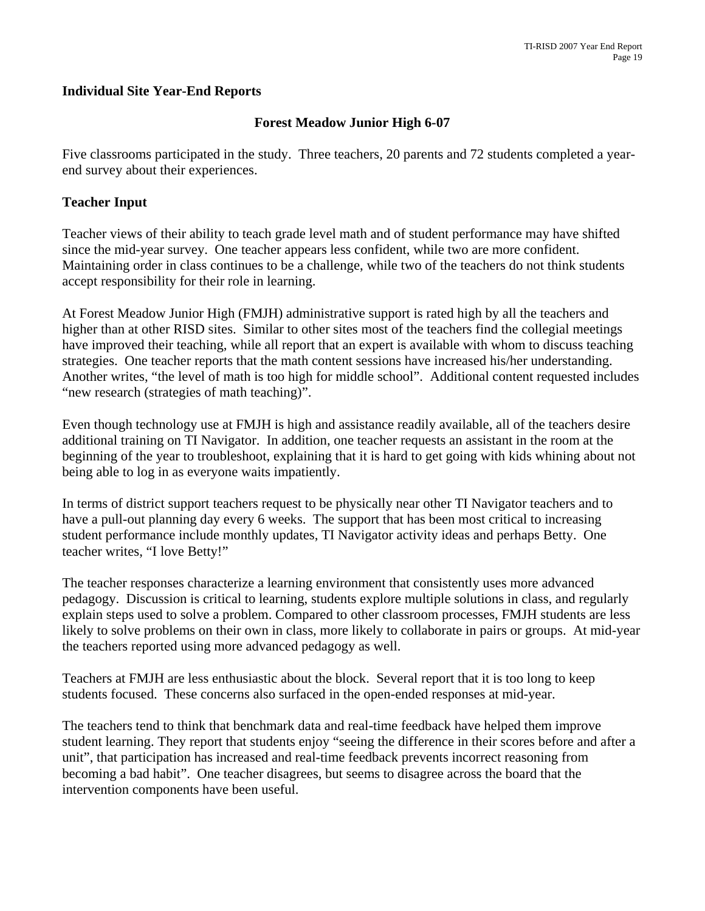### **Individual Site Year-End Reports**

### **Forest Meadow Junior High 6-07**

Five classrooms participated in the study. Three teachers, 20 parents and 72 students completed a yearend survey about their experiences.

#### **Teacher Input**

Teacher views of their ability to teach grade level math and of student performance may have shifted since the mid-year survey. One teacher appears less confident, while two are more confident. Maintaining order in class continues to be a challenge, while two of the teachers do not think students accept responsibility for their role in learning.

At Forest Meadow Junior High (FMJH) administrative support is rated high by all the teachers and higher than at other RISD sites. Similar to other sites most of the teachers find the collegial meetings have improved their teaching, while all report that an expert is available with whom to discuss teaching strategies. One teacher reports that the math content sessions have increased his/her understanding. Another writes, "the level of math is too high for middle school". Additional content requested includes "new research (strategies of math teaching)".

Even though technology use at FMJH is high and assistance readily available, all of the teachers desire additional training on TI Navigator. In addition, one teacher requests an assistant in the room at the beginning of the year to troubleshoot, explaining that it is hard to get going with kids whining about not being able to log in as everyone waits impatiently.

In terms of district support teachers request to be physically near other TI Navigator teachers and to have a pull-out planning day every 6 weeks. The support that has been most critical to increasing student performance include monthly updates, TI Navigator activity ideas and perhaps Betty. One teacher writes, "I love Betty!"

The teacher responses characterize a learning environment that consistently uses more advanced pedagogy. Discussion is critical to learning, students explore multiple solutions in class, and regularly explain steps used to solve a problem. Compared to other classroom processes, FMJH students are less likely to solve problems on their own in class, more likely to collaborate in pairs or groups. At mid-year the teachers reported using more advanced pedagogy as well.

Teachers at FMJH are less enthusiastic about the block. Several report that it is too long to keep students focused. These concerns also surfaced in the open-ended responses at mid-year.

The teachers tend to think that benchmark data and real-time feedback have helped them improve student learning. They report that students enjoy "seeing the difference in their scores before and after a unit", that participation has increased and real-time feedback prevents incorrect reasoning from becoming a bad habit". One teacher disagrees, but seems to disagree across the board that the intervention components have been useful.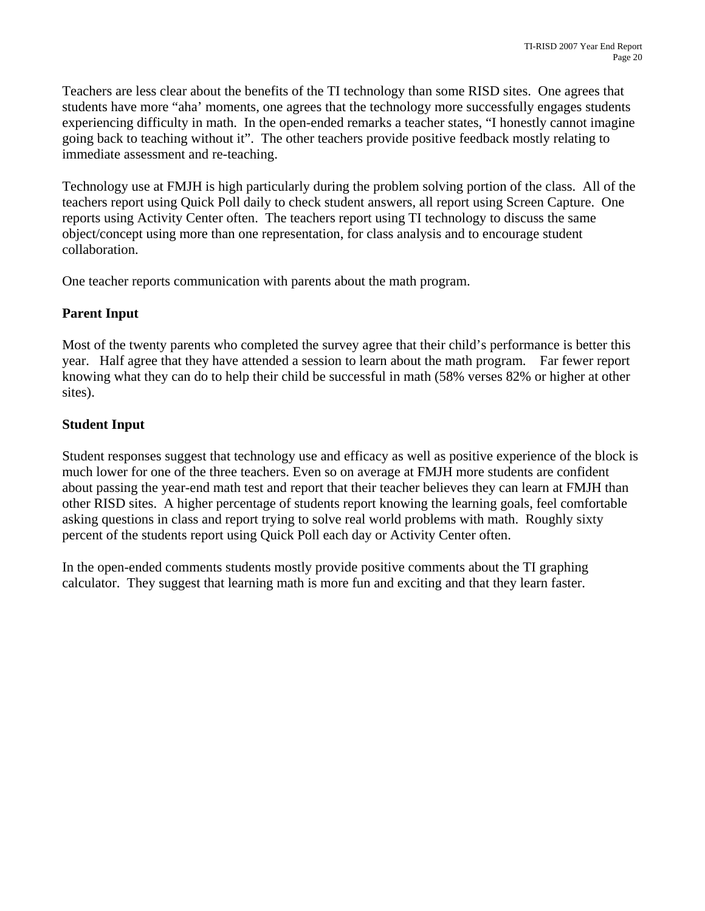Teachers are less clear about the benefits of the TI technology than some RISD sites. One agrees that students have more "aha' moments, one agrees that the technology more successfully engages students experiencing difficulty in math. In the open-ended remarks a teacher states, "I honestly cannot imagine going back to teaching without it". The other teachers provide positive feedback mostly relating to immediate assessment and re-teaching.

Technology use at FMJH is high particularly during the problem solving portion of the class. All of the teachers report using Quick Poll daily to check student answers, all report using Screen Capture. One reports using Activity Center often. The teachers report using TI technology to discuss the same object/concept using more than one representation, for class analysis and to encourage student collaboration.

One teacher reports communication with parents about the math program.

## **Parent Input**

Most of the twenty parents who completed the survey agree that their child's performance is better this year. Half agree that they have attended a session to learn about the math program. Far fewer report knowing what they can do to help their child be successful in math (58% verses 82% or higher at other sites).

## **Student Input**

Student responses suggest that technology use and efficacy as well as positive experience of the block is much lower for one of the three teachers. Even so on average at FMJH more students are confident about passing the year-end math test and report that their teacher believes they can learn at FMJH than other RISD sites. A higher percentage of students report knowing the learning goals, feel comfortable asking questions in class and report trying to solve real world problems with math. Roughly sixty percent of the students report using Quick Poll each day or Activity Center often.

In the open-ended comments students mostly provide positive comments about the TI graphing calculator. They suggest that learning math is more fun and exciting and that they learn faster.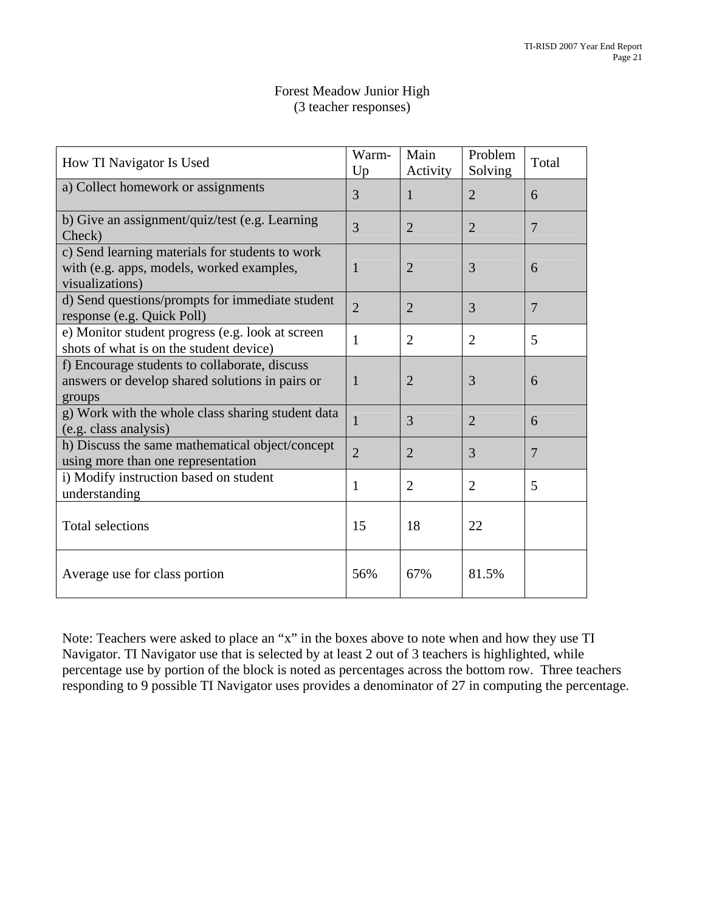| Forest Meadow Junior High |
|---------------------------|
| (3 teacher responses)     |

| How TI Navigator Is Used                                                                                        | Warm-<br>Up    | Main<br>Activity | Problem<br>Solving | Total          |
|-----------------------------------------------------------------------------------------------------------------|----------------|------------------|--------------------|----------------|
| a) Collect homework or assignments                                                                              | 3              | 1                | $\overline{2}$     | 6              |
| b) Give an assignment/quiz/test (e.g. Learning<br>Check)                                                        | 3              | $\overline{2}$   | $\overline{2}$     | $\overline{7}$ |
| c) Send learning materials for students to work<br>with (e.g. apps, models, worked examples,<br>visualizations) | 1              | $\overline{2}$   | 3                  | 6              |
| d) Send questions/prompts for immediate student<br>response (e.g. Quick Poll)                                   | $\overline{2}$ | $\overline{2}$   | 3                  | $\overline{7}$ |
| e) Monitor student progress (e.g. look at screen<br>shots of what is on the student device)                     | $\mathbf{1}$   | $\overline{2}$   | $\overline{2}$     | 5              |
| f) Encourage students to collaborate, discuss<br>answers or develop shared solutions in pairs or<br>groups      | 1              | $\overline{2}$   | 3                  | 6              |
| g) Work with the whole class sharing student data<br>(e.g. class analysis)                                      | 1              | 3                | $\overline{2}$     | 6              |
| h) Discuss the same mathematical object/concept<br>using more than one representation                           | $\overline{2}$ | $\overline{2}$   | 3                  | $\overline{7}$ |
| i) Modify instruction based on student<br>understanding                                                         | $\mathbf{1}$   | $\overline{2}$   | $\overline{2}$     | 5              |
| <b>Total selections</b>                                                                                         | 15             | 18               | 22                 |                |
| Average use for class portion                                                                                   | 56%            | 67%              | 81.5%              |                |

Note: Teachers were asked to place an "x" in the boxes above to note when and how they use TI Navigator. TI Navigator use that is selected by at least 2 out of 3 teachers is highlighted, while percentage use by portion of the block is noted as percentages across the bottom row. Three teachers responding to 9 possible TI Navigator uses provides a denominator of 27 in computing the percentage.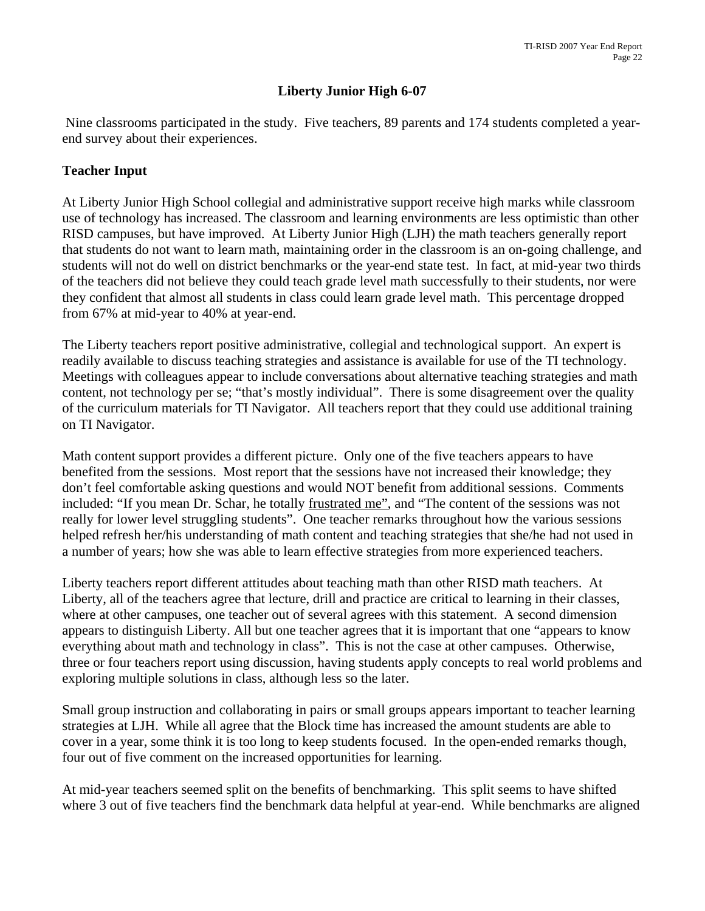## **Liberty Junior High 6-07**

 Nine classrooms participated in the study. Five teachers, 89 parents and 174 students completed a yearend survey about their experiences.

### **Teacher Input**

At Liberty Junior High School collegial and administrative support receive high marks while classroom use of technology has increased. The classroom and learning environments are less optimistic than other RISD campuses, but have improved. At Liberty Junior High (LJH) the math teachers generally report that students do not want to learn math, maintaining order in the classroom is an on-going challenge, and students will not do well on district benchmarks or the year-end state test. In fact, at mid-year two thirds of the teachers did not believe they could teach grade level math successfully to their students, nor were they confident that almost all students in class could learn grade level math. This percentage dropped from 67% at mid-year to 40% at year-end.

The Liberty teachers report positive administrative, collegial and technological support. An expert is readily available to discuss teaching strategies and assistance is available for use of the TI technology. Meetings with colleagues appear to include conversations about alternative teaching strategies and math content, not technology per se; "that's mostly individual". There is some disagreement over the quality of the curriculum materials for TI Navigator. All teachers report that they could use additional training on TI Navigator.

Math content support provides a different picture. Only one of the five teachers appears to have benefited from the sessions. Most report that the sessions have not increased their knowledge; they don't feel comfortable asking questions and would NOT benefit from additional sessions. Comments included: "If you mean Dr. Schar, he totally frustrated me", and "The content of the sessions was not really for lower level struggling students". One teacher remarks throughout how the various sessions helped refresh her/his understanding of math content and teaching strategies that she/he had not used in a number of years; how she was able to learn effective strategies from more experienced teachers.

Liberty teachers report different attitudes about teaching math than other RISD math teachers. At Liberty, all of the teachers agree that lecture, drill and practice are critical to learning in their classes, where at other campuses, one teacher out of several agrees with this statement. A second dimension appears to distinguish Liberty. All but one teacher agrees that it is important that one "appears to know everything about math and technology in class". This is not the case at other campuses. Otherwise, three or four teachers report using discussion, having students apply concepts to real world problems and exploring multiple solutions in class, although less so the later.

Small group instruction and collaborating in pairs or small groups appears important to teacher learning strategies at LJH. While all agree that the Block time has increased the amount students are able to cover in a year, some think it is too long to keep students focused. In the open-ended remarks though, four out of five comment on the increased opportunities for learning.

At mid-year teachers seemed split on the benefits of benchmarking. This split seems to have shifted where 3 out of five teachers find the benchmark data helpful at year-end. While benchmarks are aligned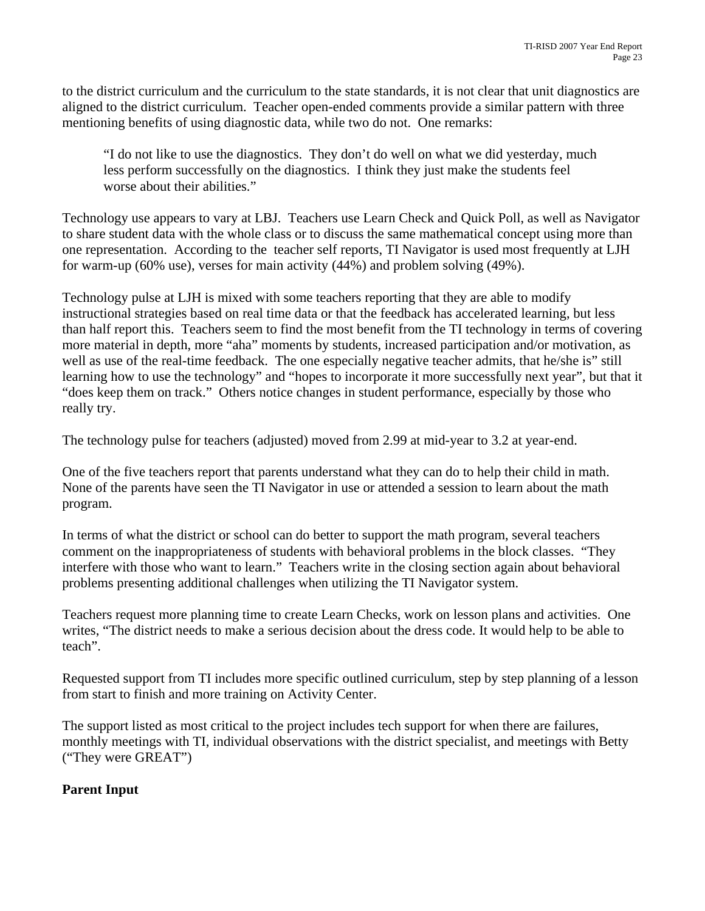to the district curriculum and the curriculum to the state standards, it is not clear that unit diagnostics are aligned to the district curriculum. Teacher open-ended comments provide a similar pattern with three mentioning benefits of using diagnostic data, while two do not. One remarks:

 "I do not like to use the diagnostics. They don't do well on what we did yesterday, much less perform successfully on the diagnostics. I think they just make the students feel worse about their abilities."

Technology use appears to vary at LBJ. Teachers use Learn Check and Quick Poll, as well as Navigator to share student data with the whole class or to discuss the same mathematical concept using more than one representation. According to the teacher self reports, TI Navigator is used most frequently at LJH for warm-up (60% use), verses for main activity (44%) and problem solving (49%).

Technology pulse at LJH is mixed with some teachers reporting that they are able to modify instructional strategies based on real time data or that the feedback has accelerated learning, but less than half report this. Teachers seem to find the most benefit from the TI technology in terms of covering more material in depth, more "aha" moments by students, increased participation and/or motivation, as well as use of the real-time feedback. The one especially negative teacher admits, that he/she is" still learning how to use the technology" and "hopes to incorporate it more successfully next year", but that it "does keep them on track." Others notice changes in student performance, especially by those who really try.

The technology pulse for teachers (adjusted) moved from 2.99 at mid-year to 3.2 at year-end.

One of the five teachers report that parents understand what they can do to help their child in math. None of the parents have seen the TI Navigator in use or attended a session to learn about the math program.

In terms of what the district or school can do better to support the math program, several teachers comment on the inappropriateness of students with behavioral problems in the block classes. "They interfere with those who want to learn." Teachers write in the closing section again about behavioral problems presenting additional challenges when utilizing the TI Navigator system.

Teachers request more planning time to create Learn Checks, work on lesson plans and activities. One writes, "The district needs to make a serious decision about the dress code. It would help to be able to teach".

Requested support from TI includes more specific outlined curriculum, step by step planning of a lesson from start to finish and more training on Activity Center.

The support listed as most critical to the project includes tech support for when there are failures, monthly meetings with TI, individual observations with the district specialist, and meetings with Betty ("They were GREAT")

## **Parent Input**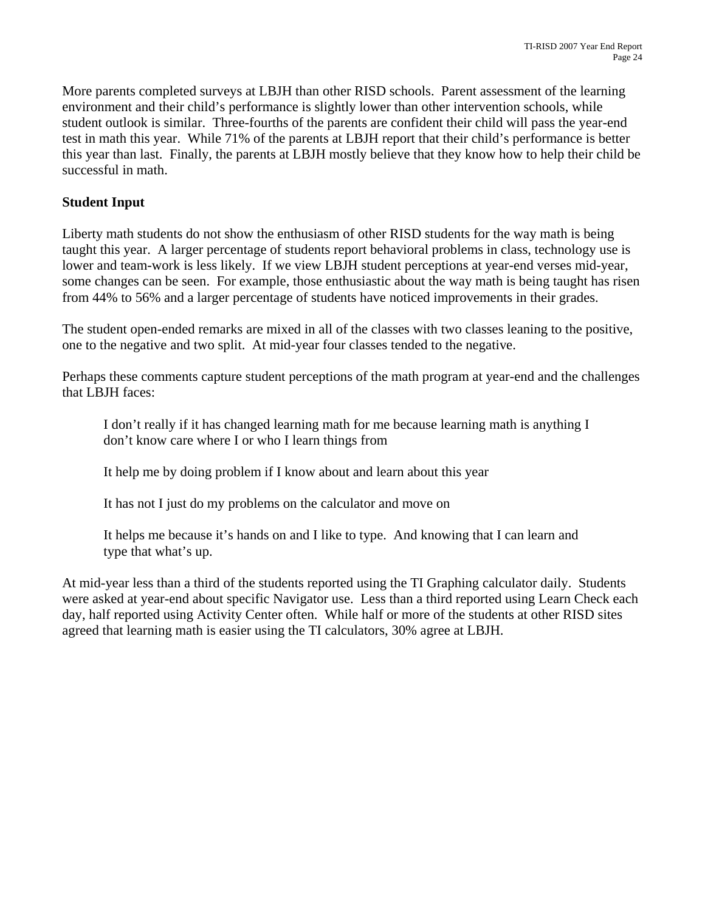More parents completed surveys at LBJH than other RISD schools. Parent assessment of the learning environment and their child's performance is slightly lower than other intervention schools, while student outlook is similar. Three-fourths of the parents are confident their child will pass the year-end test in math this year. While 71% of the parents at LBJH report that their child's performance is better this year than last. Finally, the parents at LBJH mostly believe that they know how to help their child be successful in math.

## **Student Input**

Liberty math students do not show the enthusiasm of other RISD students for the way math is being taught this year. A larger percentage of students report behavioral problems in class, technology use is lower and team-work is less likely. If we view LBJH student perceptions at year-end verses mid-year, some changes can be seen. For example, those enthusiastic about the way math is being taught has risen from 44% to 56% and a larger percentage of students have noticed improvements in their grades.

The student open-ended remarks are mixed in all of the classes with two classes leaning to the positive, one to the negative and two split. At mid-year four classes tended to the negative.

Perhaps these comments capture student perceptions of the math program at year-end and the challenges that LBJH faces:

I don't really if it has changed learning math for me because learning math is anything I don't know care where I or who I learn things from

It help me by doing problem if I know about and learn about this year

It has not I just do my problems on the calculator and move on

It helps me because it's hands on and I like to type. And knowing that I can learn and type that what's up.

At mid-year less than a third of the students reported using the TI Graphing calculator daily. Students were asked at year-end about specific Navigator use. Less than a third reported using Learn Check each day, half reported using Activity Center often. While half or more of the students at other RISD sites agreed that learning math is easier using the TI calculators, 30% agree at LBJH.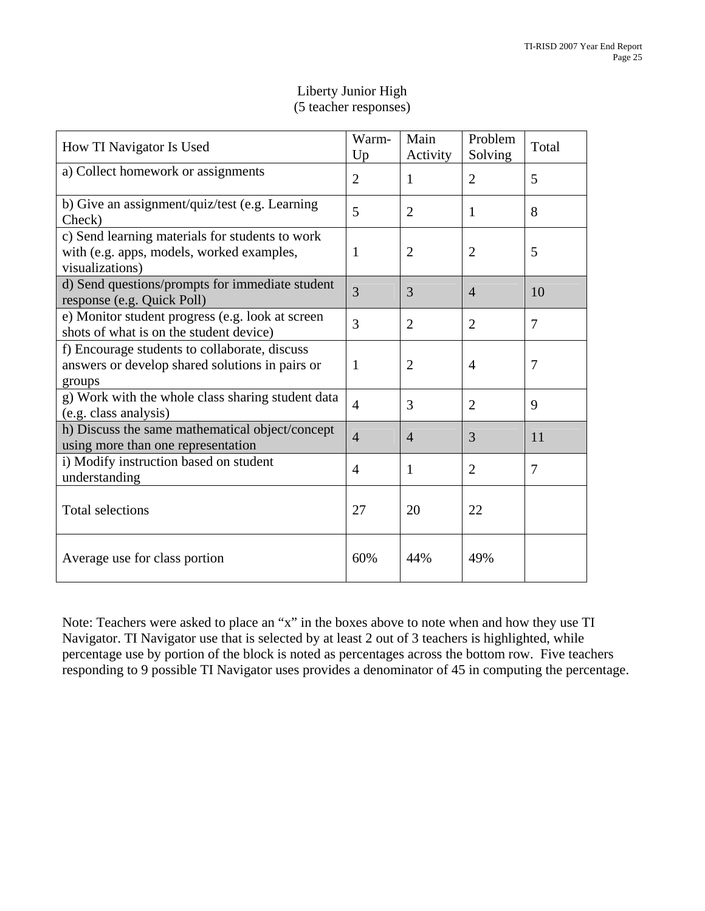| How TI Navigator Is Used                                                                                        | Warm-<br>Up    | Main<br>Activity | Problem<br>Solving | Total          |
|-----------------------------------------------------------------------------------------------------------------|----------------|------------------|--------------------|----------------|
| a) Collect homework or assignments                                                                              | $\overline{2}$ | 1                | $\overline{2}$     | 5              |
| b) Give an assignment/quiz/test (e.g. Learning<br>Check)                                                        | 5              | $\overline{2}$   | 1                  | 8              |
| c) Send learning materials for students to work<br>with (e.g. apps, models, worked examples,<br>visualizations) | $\mathbf{1}$   | $\overline{2}$   | 2                  | 5              |
| d) Send questions/prompts for immediate student<br>response (e.g. Quick Poll)                                   | 3              | 3                | $\overline{4}$     | 10             |
| e) Monitor student progress (e.g. look at screen<br>shots of what is on the student device)                     | 3              | $\overline{2}$   | 2                  | 7              |
| f) Encourage students to collaborate, discuss<br>answers or develop shared solutions in pairs or<br>groups      | $\mathbf{1}$   | $\overline{2}$   | $\overline{4}$     | $\overline{7}$ |
| g) Work with the whole class sharing student data<br>(e.g. class analysis)                                      | $\overline{4}$ | 3                | $\overline{2}$     | 9              |
| h) Discuss the same mathematical object/concept<br>using more than one representation                           | $\overline{4}$ | $\overline{4}$   | 3                  | 11             |
| i) Modify instruction based on student<br>understanding                                                         | $\overline{4}$ | 1                | $\overline{2}$     | 7              |
| <b>Total selections</b>                                                                                         | 27             | 20               | 22                 |                |
| Average use for class portion                                                                                   | 60%            | 44%              | 49%                |                |

## Liberty Junior High (5 teacher responses)

Note: Teachers were asked to place an "x" in the boxes above to note when and how they use TI Navigator. TI Navigator use that is selected by at least 2 out of 3 teachers is highlighted, while percentage use by portion of the block is noted as percentages across the bottom row. Five teachers responding to 9 possible TI Navigator uses provides a denominator of 45 in computing the percentage.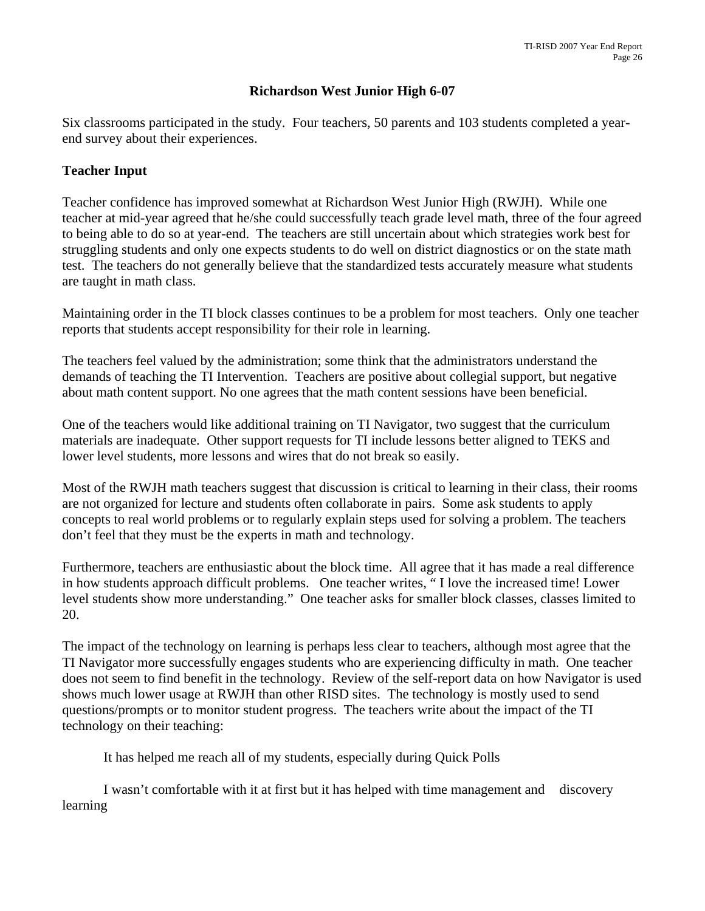### **Richardson West Junior High 6-07**

Six classrooms participated in the study. Four teachers, 50 parents and 103 students completed a yearend survey about their experiences.

#### **Teacher Input**

Teacher confidence has improved somewhat at Richardson West Junior High (RWJH). While one teacher at mid-year agreed that he/she could successfully teach grade level math, three of the four agreed to being able to do so at year-end. The teachers are still uncertain about which strategies work best for struggling students and only one expects students to do well on district diagnostics or on the state math test. The teachers do not generally believe that the standardized tests accurately measure what students are taught in math class.

Maintaining order in the TI block classes continues to be a problem for most teachers. Only one teacher reports that students accept responsibility for their role in learning.

The teachers feel valued by the administration; some think that the administrators understand the demands of teaching the TI Intervention. Teachers are positive about collegial support, but negative about math content support. No one agrees that the math content sessions have been beneficial.

One of the teachers would like additional training on TI Navigator, two suggest that the curriculum materials are inadequate. Other support requests for TI include lessons better aligned to TEKS and lower level students, more lessons and wires that do not break so easily.

Most of the RWJH math teachers suggest that discussion is critical to learning in their class, their rooms are not organized for lecture and students often collaborate in pairs. Some ask students to apply concepts to real world problems or to regularly explain steps used for solving a problem. The teachers don't feel that they must be the experts in math and technology.

Furthermore, teachers are enthusiastic about the block time. All agree that it has made a real difference in how students approach difficult problems. One teacher writes, " I love the increased time! Lower level students show more understanding." One teacher asks for smaller block classes, classes limited to 20.

The impact of the technology on learning is perhaps less clear to teachers, although most agree that the TI Navigator more successfully engages students who are experiencing difficulty in math. One teacher does not seem to find benefit in the technology. Review of the self-report data on how Navigator is used shows much lower usage at RWJH than other RISD sites. The technology is mostly used to send questions/prompts or to monitor student progress. The teachers write about the impact of the TI technology on their teaching:

It has helped me reach all of my students, especially during Quick Polls

 I wasn't comfortable with it at first but it has helped with time management and discovery learning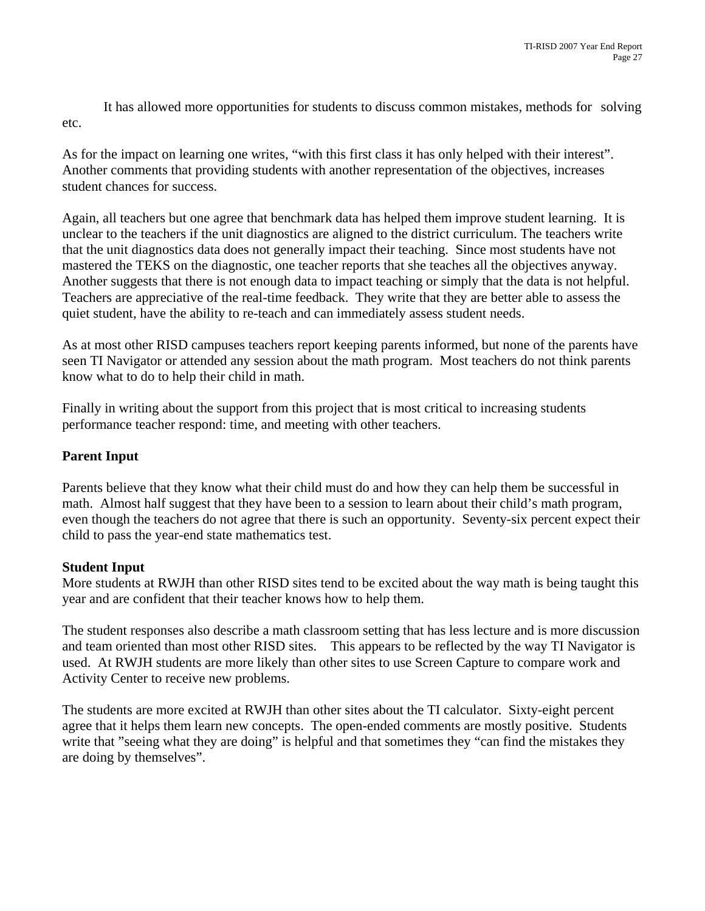It has allowed more opportunities for students to discuss common mistakes, methods for solving etc.

As for the impact on learning one writes, "with this first class it has only helped with their interest". Another comments that providing students with another representation of the objectives, increases student chances for success.

Again, all teachers but one agree that benchmark data has helped them improve student learning. It is unclear to the teachers if the unit diagnostics are aligned to the district curriculum. The teachers write that the unit diagnostics data does not generally impact their teaching. Since most students have not mastered the TEKS on the diagnostic, one teacher reports that she teaches all the objectives anyway. Another suggests that there is not enough data to impact teaching or simply that the data is not helpful. Teachers are appreciative of the real-time feedback. They write that they are better able to assess the quiet student, have the ability to re-teach and can immediately assess student needs.

As at most other RISD campuses teachers report keeping parents informed, but none of the parents have seen TI Navigator or attended any session about the math program. Most teachers do not think parents know what to do to help their child in math.

Finally in writing about the support from this project that is most critical to increasing students performance teacher respond: time, and meeting with other teachers.

### **Parent Input**

Parents believe that they know what their child must do and how they can help them be successful in math. Almost half suggest that they have been to a session to learn about their child's math program, even though the teachers do not agree that there is such an opportunity. Seventy-six percent expect their child to pass the year-end state mathematics test.

### **Student Input**

More students at RWJH than other RISD sites tend to be excited about the way math is being taught this year and are confident that their teacher knows how to help them.

The student responses also describe a math classroom setting that has less lecture and is more discussion and team oriented than most other RISD sites. This appears to be reflected by the way TI Navigator is used. At RWJH students are more likely than other sites to use Screen Capture to compare work and Activity Center to receive new problems.

The students are more excited at RWJH than other sites about the TI calculator. Sixty-eight percent agree that it helps them learn new concepts. The open-ended comments are mostly positive. Students write that "seeing what they are doing" is helpful and that sometimes they "can find the mistakes they are doing by themselves".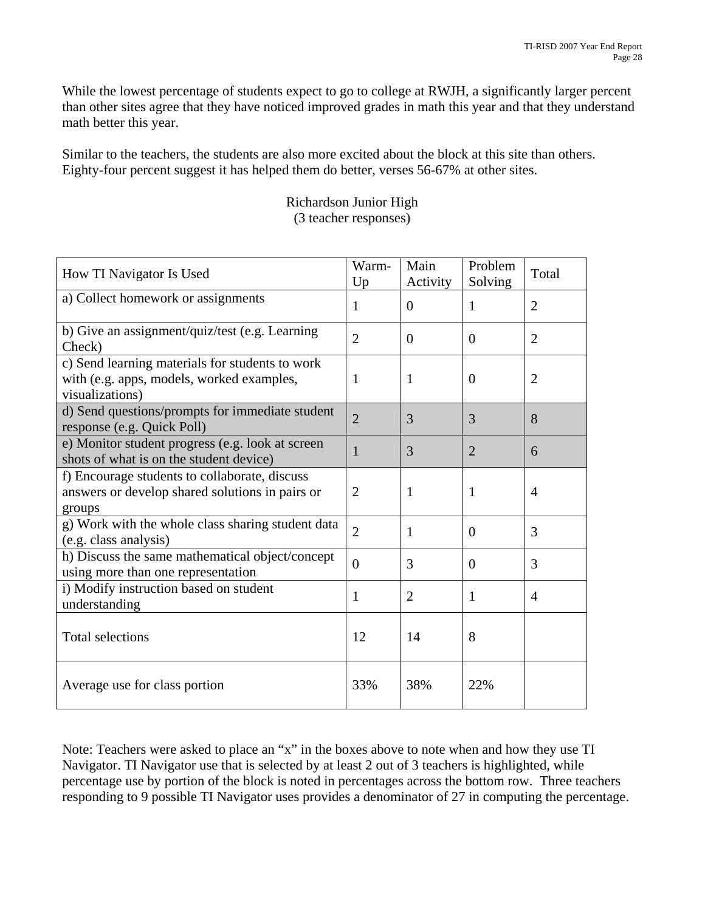While the lowest percentage of students expect to go to college at RWJH, a significantly larger percent than other sites agree that they have noticed improved grades in math this year and that they understand math better this year.

Similar to the teachers, the students are also more excited about the block at this site than others. Eighty-four percent suggest it has helped them do better, verses 56-67% at other sites.

| How TI Navigator Is Used                                                                                        | Warm-<br>Up    | Main<br>Activity | Problem<br>Solving | Total          |
|-----------------------------------------------------------------------------------------------------------------|----------------|------------------|--------------------|----------------|
| a) Collect homework or assignments                                                                              | $\mathbf{1}$   | $\theta$         | 1                  | $\overline{2}$ |
| b) Give an assignment/quiz/test (e.g. Learning<br>Check)                                                        | $\overline{2}$ | $\Omega$         | $\Omega$           | $\overline{2}$ |
| c) Send learning materials for students to work<br>with (e.g. apps, models, worked examples,<br>visualizations) | 1              | $\mathbf{1}$     | $\theta$           | $\overline{2}$ |
| d) Send questions/prompts for immediate student<br>response (e.g. Quick Poll)                                   | $\overline{2}$ | 3                | 3                  | 8              |
| e) Monitor student progress (e.g. look at screen<br>shots of what is on the student device)                     | $\mathbf{1}$   | 3                | $\overline{2}$     | 6              |
| f) Encourage students to collaborate, discuss<br>answers or develop shared solutions in pairs or<br>groups      | $\overline{2}$ | $\mathbf{1}$     | 1                  | $\overline{4}$ |
| g) Work with the whole class sharing student data<br>(e.g. class analysis)                                      | $\overline{2}$ | $\mathbf{1}$     | $\overline{0}$     | 3              |
| h) Discuss the same mathematical object/concept<br>using more than one representation                           | $\theta$       | 3                | $\Omega$           | 3              |
| i) Modify instruction based on student<br>understanding                                                         | $\mathbf{1}$   | $\overline{2}$   | 1                  | $\overline{4}$ |
| <b>Total selections</b>                                                                                         | 12             | 14               | 8                  |                |
| Average use for class portion                                                                                   | 33%            | 38%              | 22%                |                |

Richardson Junior High (3 teacher responses)

Note: Teachers were asked to place an "x" in the boxes above to note when and how they use TI Navigator. TI Navigator use that is selected by at least 2 out of 3 teachers is highlighted, while percentage use by portion of the block is noted in percentages across the bottom row. Three teachers responding to 9 possible TI Navigator uses provides a denominator of 27 in computing the percentage.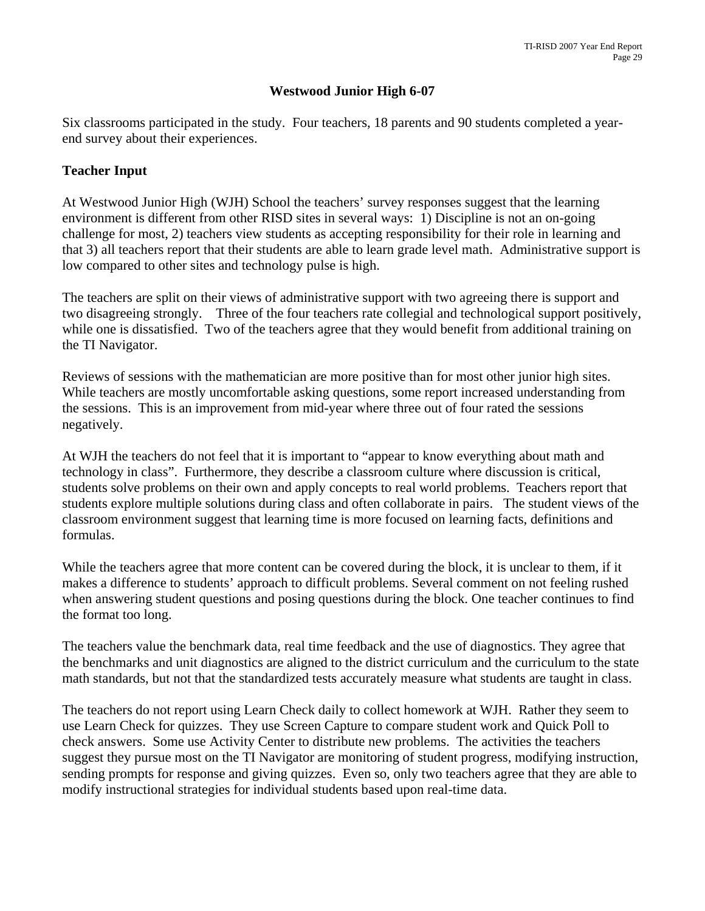### **Westwood Junior High 6-07**

Six classrooms participated in the study. Four teachers, 18 parents and 90 students completed a yearend survey about their experiences.

#### **Teacher Input**

At Westwood Junior High (WJH) School the teachers' survey responses suggest that the learning environment is different from other RISD sites in several ways: 1) Discipline is not an on-going challenge for most, 2) teachers view students as accepting responsibility for their role in learning and that 3) all teachers report that their students are able to learn grade level math. Administrative support is low compared to other sites and technology pulse is high.

The teachers are split on their views of administrative support with two agreeing there is support and two disagreeing strongly. Three of the four teachers rate collegial and technological support positively, while one is dissatisfied. Two of the teachers agree that they would benefit from additional training on the TI Navigator.

Reviews of sessions with the mathematician are more positive than for most other junior high sites. While teachers are mostly uncomfortable asking questions, some report increased understanding from the sessions. This is an improvement from mid-year where three out of four rated the sessions negatively.

At WJH the teachers do not feel that it is important to "appear to know everything about math and technology in class". Furthermore, they describe a classroom culture where discussion is critical, students solve problems on their own and apply concepts to real world problems. Teachers report that students explore multiple solutions during class and often collaborate in pairs. The student views of the classroom environment suggest that learning time is more focused on learning facts, definitions and formulas.

While the teachers agree that more content can be covered during the block, it is unclear to them, if it makes a difference to students' approach to difficult problems. Several comment on not feeling rushed when answering student questions and posing questions during the block. One teacher continues to find the format too long.

The teachers value the benchmark data, real time feedback and the use of diagnostics. They agree that the benchmarks and unit diagnostics are aligned to the district curriculum and the curriculum to the state math standards, but not that the standardized tests accurately measure what students are taught in class.

The teachers do not report using Learn Check daily to collect homework at WJH. Rather they seem to use Learn Check for quizzes. They use Screen Capture to compare student work and Quick Poll to check answers. Some use Activity Center to distribute new problems. The activities the teachers suggest they pursue most on the TI Navigator are monitoring of student progress, modifying instruction, sending prompts for response and giving quizzes. Even so, only two teachers agree that they are able to modify instructional strategies for individual students based upon real-time data.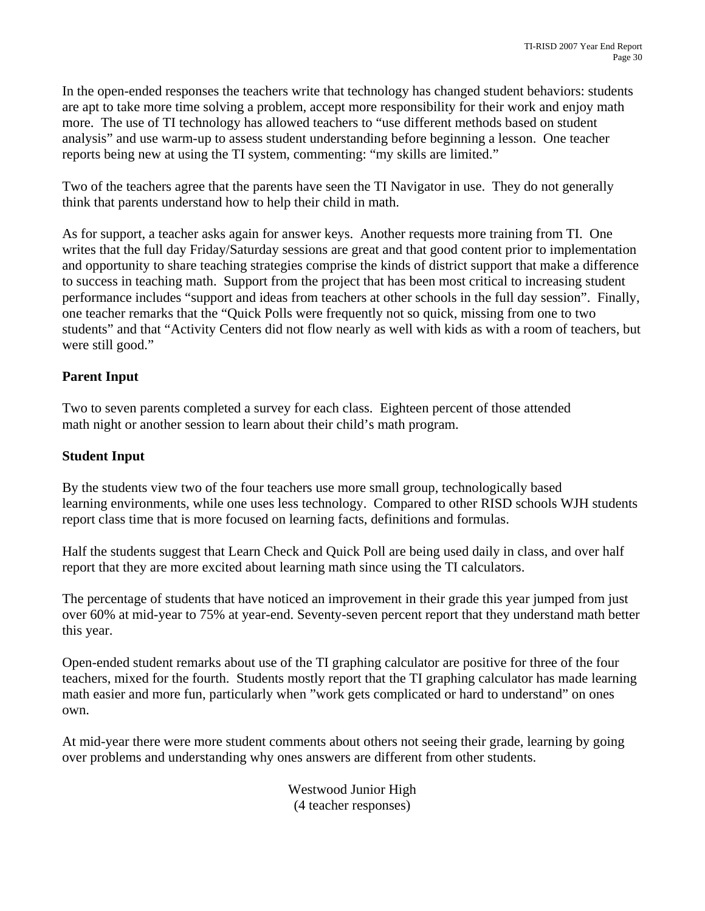In the open-ended responses the teachers write that technology has changed student behaviors: students are apt to take more time solving a problem, accept more responsibility for their work and enjoy math more. The use of TI technology has allowed teachers to "use different methods based on student analysis" and use warm-up to assess student understanding before beginning a lesson. One teacher reports being new at using the TI system, commenting: "my skills are limited."

Two of the teachers agree that the parents have seen the TI Navigator in use. They do not generally think that parents understand how to help their child in math.

As for support, a teacher asks again for answer keys. Another requests more training from TI. One writes that the full day Friday/Saturday sessions are great and that good content prior to implementation and opportunity to share teaching strategies comprise the kinds of district support that make a difference to success in teaching math. Support from the project that has been most critical to increasing student performance includes "support and ideas from teachers at other schools in the full day session". Finally, one teacher remarks that the "Quick Polls were frequently not so quick, missing from one to two students" and that "Activity Centers did not flow nearly as well with kids as with a room of teachers, but were still good."

## **Parent Input**

Two to seven parents completed a survey for each class. Eighteen percent of those attended math night or another session to learn about their child's math program.

### **Student Input**

By the students view two of the four teachers use more small group, technologically based learning environments, while one uses less technology. Compared to other RISD schools WJH students report class time that is more focused on learning facts, definitions and formulas.

Half the students suggest that Learn Check and Quick Poll are being used daily in class, and over half report that they are more excited about learning math since using the TI calculators.

The percentage of students that have noticed an improvement in their grade this year jumped from just over 60% at mid-year to 75% at year-end. Seventy-seven percent report that they understand math better this year.

Open-ended student remarks about use of the TI graphing calculator are positive for three of the four teachers, mixed for the fourth. Students mostly report that the TI graphing calculator has made learning math easier and more fun, particularly when "work gets complicated or hard to understand" on ones own.

At mid-year there were more student comments about others not seeing their grade, learning by going over problems and understanding why ones answers are different from other students.

> Westwood Junior High (4 teacher responses)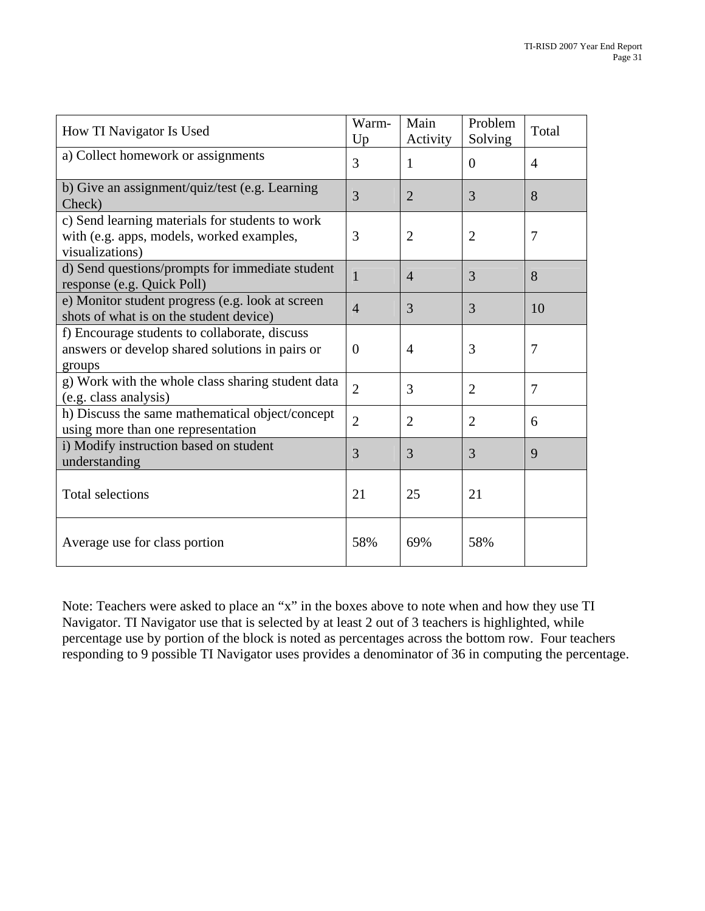| How TI Navigator Is Used                                                                                        | Warm-<br>Up    | Main<br>Activity | Problem<br>Solving | Total          |
|-----------------------------------------------------------------------------------------------------------------|----------------|------------------|--------------------|----------------|
| a) Collect homework or assignments                                                                              | 3              | 1                | $\overline{0}$     | $\overline{4}$ |
| b) Give an assignment/quiz/test (e.g. Learning<br>Check)                                                        | 3              | $\overline{2}$   | 3                  | 8              |
| c) Send learning materials for students to work<br>with (e.g. apps, models, worked examples,<br>visualizations) | 3              | $\overline{2}$   | $\overline{2}$     | $\overline{7}$ |
| d) Send questions/prompts for immediate student<br>response (e.g. Quick Poll)                                   | $\mathbf{1}$   | $\overline{4}$   | 3                  | 8              |
| e) Monitor student progress (e.g. look at screen<br>shots of what is on the student device)                     | $\overline{4}$ | 3                | 3                  | 10             |
| f) Encourage students to collaborate, discuss<br>answers or develop shared solutions in pairs or<br>groups      | $\theta$       | $\overline{4}$   | 3                  | 7              |
| g) Work with the whole class sharing student data<br>(e.g. class analysis)                                      | $\overline{2}$ | 3                | $\overline{2}$     | $\overline{7}$ |
| h) Discuss the same mathematical object/concept<br>using more than one representation                           | $\overline{2}$ | $\overline{2}$   | $\overline{2}$     | 6              |
| i) Modify instruction based on student<br>understanding                                                         | 3              | 3                | 3                  | 9              |
| <b>Total selections</b>                                                                                         | 21             | 25               | 21                 |                |
| Average use for class portion                                                                                   | 58%            | 69%              | 58%                |                |

Note: Teachers were asked to place an "x" in the boxes above to note when and how they use TI Navigator. TI Navigator use that is selected by at least 2 out of 3 teachers is highlighted, while percentage use by portion of the block is noted as percentages across the bottom row. Four teachers responding to 9 possible TI Navigator uses provides a denominator of 36 in computing the percentage.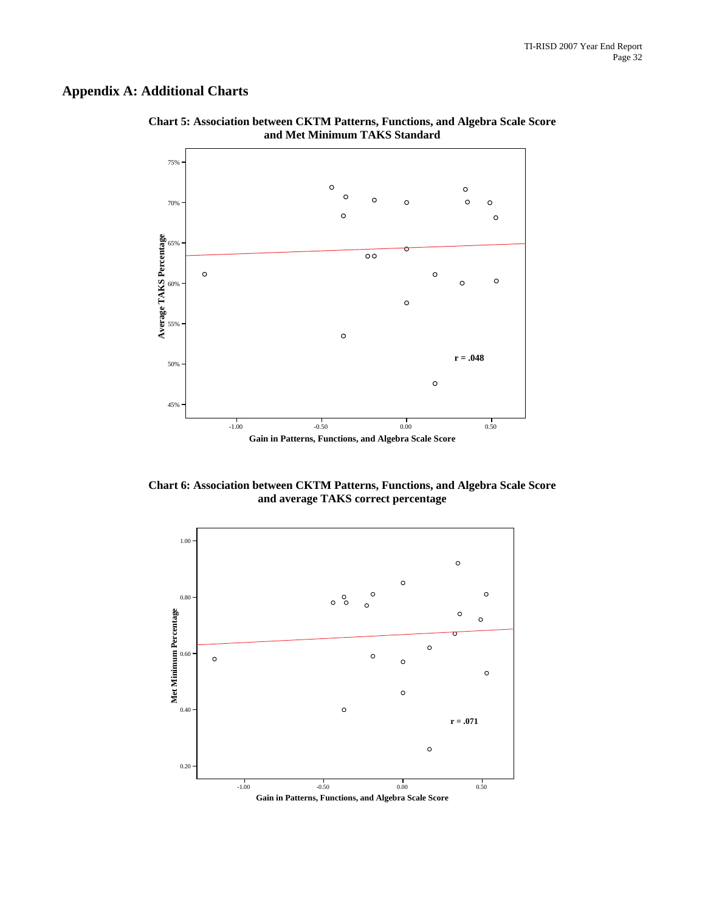## **Appendix A: Additional Charts**



**Chart 5: Association between CKTM Patterns, Functions, and Algebra Scale Score and Met Minimum TAKS Standard**

**Chart 6: Association between CKTM Patterns, Functions, and Algebra Scale Score and average TAKS correct percentage**

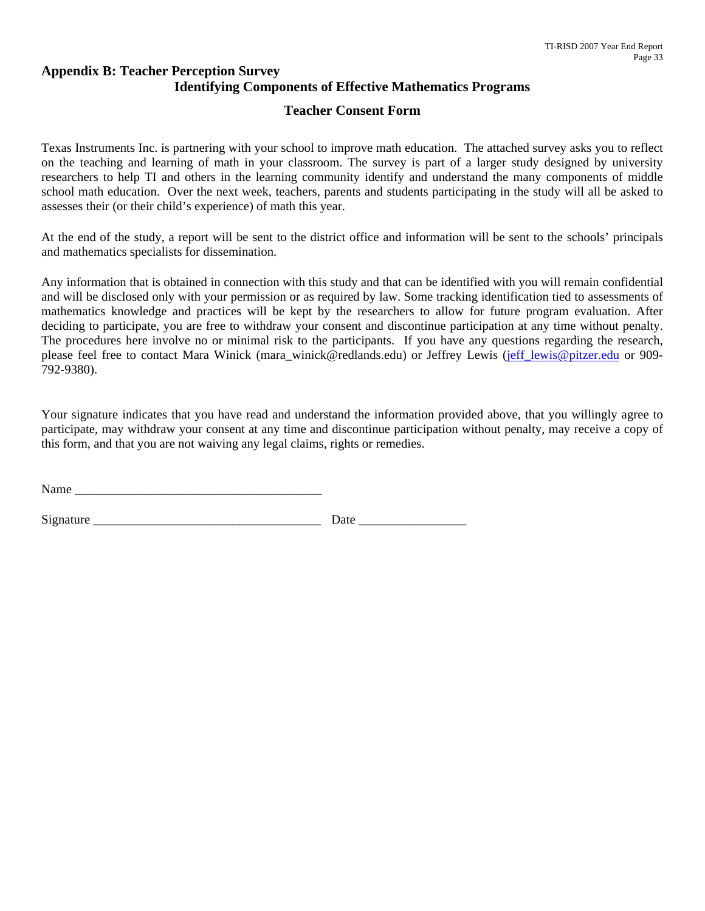### **Appendix B: Teacher Perception Survey Identifying Components of Effective Mathematics Programs**

### **Teacher Consent Form**

Texas Instruments Inc. is partnering with your school to improve math education. The attached survey asks you to reflect on the teaching and learning of math in your classroom. The survey is part of a larger study designed by university researchers to help TI and others in the learning community identify and understand the many components of middle school math education. Over the next week, teachers, parents and students participating in the study will all be asked to assesses their (or their child's experience) of math this year.

At the end of the study, a report will be sent to the district office and information will be sent to the schools' principals and mathematics specialists for dissemination.

Any information that is obtained in connection with this study and that can be identified with you will remain confidential and will be disclosed only with your permission or as required by law. Some tracking identification tied to assessments of mathematics knowledge and practices will be kept by the researchers to allow for future program evaluation. After deciding to participate, you are free to withdraw your consent and discontinue participation at any time without penalty. The procedures here involve no or minimal risk to the participants. If you have any questions regarding the research, please feel free to contact Mara Winick (mara\_winick@redlands.edu) or Jeffrey Lewis [\(jeff\\_lewis@pitzer.edu](mailto:jeff_lewis@pitzer.edu) or 909-792-9380).

Your signature indicates that you have read and understand the information provided above, that you willingly agree to participate, may withdraw your consent at any time and discontinue participation without penalty, may receive a copy of this form, and that you are not waiving any legal claims, rights or remedies.

| Name |  |
|------|--|
|------|--|

Signature **Example 2** Date  $\overline{a}$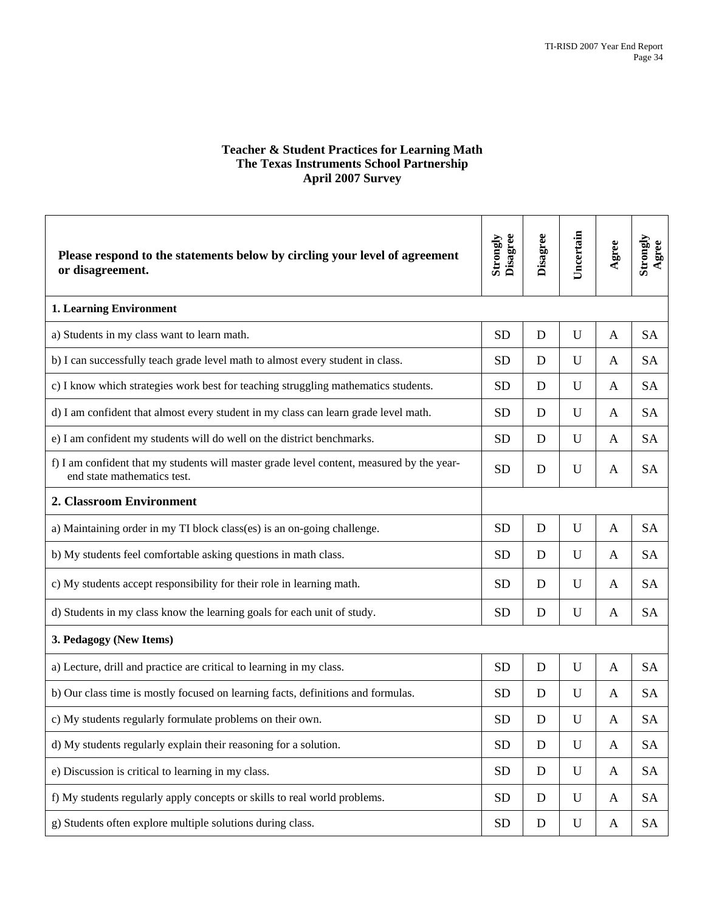#### **Teacher & Student Practices for Learning Math The Texas Instruments School Partnership April 2007 Survey**

| Please respond to the statements below by circling your level of agreement<br>or disagreement.                           | Strongly<br>Disagree | Disagree    | Uncertain   | Agree        | Strongly<br>Agree |
|--------------------------------------------------------------------------------------------------------------------------|----------------------|-------------|-------------|--------------|-------------------|
| <b>1. Learning Environment</b>                                                                                           |                      |             |             |              |                   |
| a) Students in my class want to learn math.                                                                              | <b>SD</b>            | D           | $\mathbf U$ | A            | <b>SA</b>         |
| b) I can successfully teach grade level math to almost every student in class.                                           | <b>SD</b>            | D           | U           | A            | <b>SA</b>         |
| c) I know which strategies work best for teaching struggling mathematics students.                                       | <b>SD</b>            | D           | U           | A            | <b>SA</b>         |
| d) I am confident that almost every student in my class can learn grade level math.                                      | <b>SD</b>            | D           | U           | A            | <b>SA</b>         |
| e) I am confident my students will do well on the district benchmarks.                                                   | <b>SD</b>            | D           | U           | A            | <b>SA</b>         |
| f) I am confident that my students will master grade level content, measured by the year-<br>end state mathematics test. | <b>SD</b>            | D           | U           | A            | <b>SA</b>         |
| 2. Classroom Environment                                                                                                 |                      |             |             |              |                   |
| a) Maintaining order in my TI block class(es) is an on-going challenge.                                                  | <b>SD</b>            | D           | U           | A            | <b>SA</b>         |
| b) My students feel comfortable asking questions in math class.                                                          | <b>SD</b>            | D           | U           | A            | <b>SA</b>         |
| c) My students accept responsibility for their role in learning math.                                                    | <b>SD</b>            | D           | U           | A            | <b>SA</b>         |
| d) Students in my class know the learning goals for each unit of study.                                                  | <b>SD</b>            | D           | U           | A            | <b>SA</b>         |
| 3. Pedagogy (New Items)                                                                                                  |                      |             |             |              |                   |
| a) Lecture, drill and practice are critical to learning in my class.                                                     | <b>SD</b>            | D           | U           | A            | <b>SA</b>         |
| b) Our class time is mostly focused on learning facts, definitions and formulas.                                         | <b>SD</b>            | D           | U           | A            | <b>SA</b>         |
| c) My students regularly formulate problems on their own.                                                                | <b>SD</b>            | D           | U           | A            | <b>SA</b>         |
| d) My students regularly explain their reasoning for a solution.                                                         | <b>SD</b>            | ${\bf D}$   | $\mathbf U$ | A            | <b>SA</b>         |
| e) Discussion is critical to learning in my class.                                                                       | <b>SD</b>            | $\mathbf D$ | U           | $\mathbf{A}$ | <b>SA</b>         |
| f) My students regularly apply concepts or skills to real world problems.                                                | <b>SD</b>            | D           | U           | A            | SA                |
| g) Students often explore multiple solutions during class.                                                               | <b>SD</b>            | ${\bf D}$   | $\mathbf U$ | A            | SA                |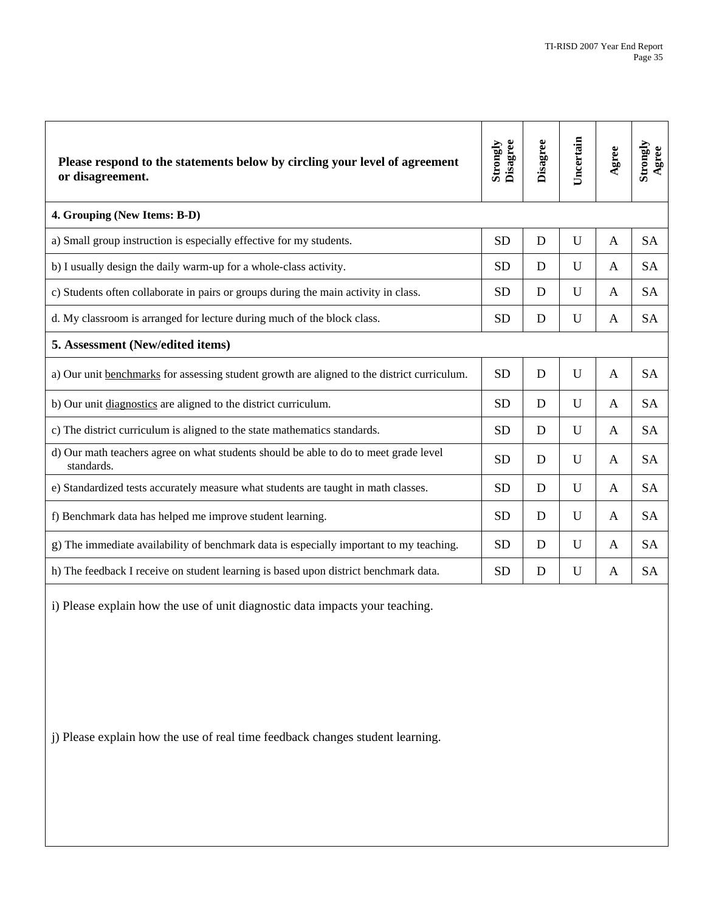| Please respond to the statements below by circling your level of agreement<br>or disagreement.     | Strongly<br>Disagree | Disagree | Uncertain   | Agree          | Strongly<br>Agree |
|----------------------------------------------------------------------------------------------------|----------------------|----------|-------------|----------------|-------------------|
| 4. Grouping (New Items: B-D)                                                                       |                      |          |             |                |                   |
| a) Small group instruction is especially effective for my students.                                | <b>SD</b>            | D        | $\mathbf U$ | A              | <b>SA</b>         |
| b) I usually design the daily warm-up for a whole-class activity.                                  | <b>SD</b>            | D        | U           | A              | <b>SA</b>         |
| c) Students often collaborate in pairs or groups during the main activity in class.                | <b>SD</b>            | D        | $\mathbf U$ | A              | <b>SA</b>         |
| d. My classroom is arranged for lecture during much of the block class.                            | <b>SD</b>            | D        | U           | A              | <b>SA</b>         |
| 5. Assessment (New/edited items)                                                                   |                      |          |             |                |                   |
| a) Our unit benchmarks for assessing student growth are aligned to the district curriculum.        | <b>SD</b>            | D        | U           | $\overline{A}$ | <b>SA</b>         |
| b) Our unit diagnostics are aligned to the district curriculum.                                    | <b>SD</b>            | D        | U           | A              | <b>SA</b>         |
| c) The district curriculum is aligned to the state mathematics standards.                          | <b>SD</b>            | D        | U           | $\mathsf{A}$   | <b>SA</b>         |
| d) Our math teachers agree on what students should be able to do to meet grade level<br>standards. | <b>SD</b>            | D        | U           | A              | <b>SA</b>         |
| e) Standardized tests accurately measure what students are taught in math classes.                 | <b>SD</b>            | D        | U           | A              | <b>SA</b>         |
| f) Benchmark data has helped me improve student learning.                                          | <b>SD</b>            | D        | U           | A              | <b>SA</b>         |
| g) The immediate availability of benchmark data is especially important to my teaching.            | <b>SD</b>            | D        | U           | A              | <b>SA</b>         |
| h) The feedback I receive on student learning is based upon district benchmark data.               | <b>SD</b>            | D        | U           | A              | <b>SA</b>         |

i) Please explain how the use of unit diagnostic data impacts your teaching.

j) Please explain how the use of real time feedback changes student learning.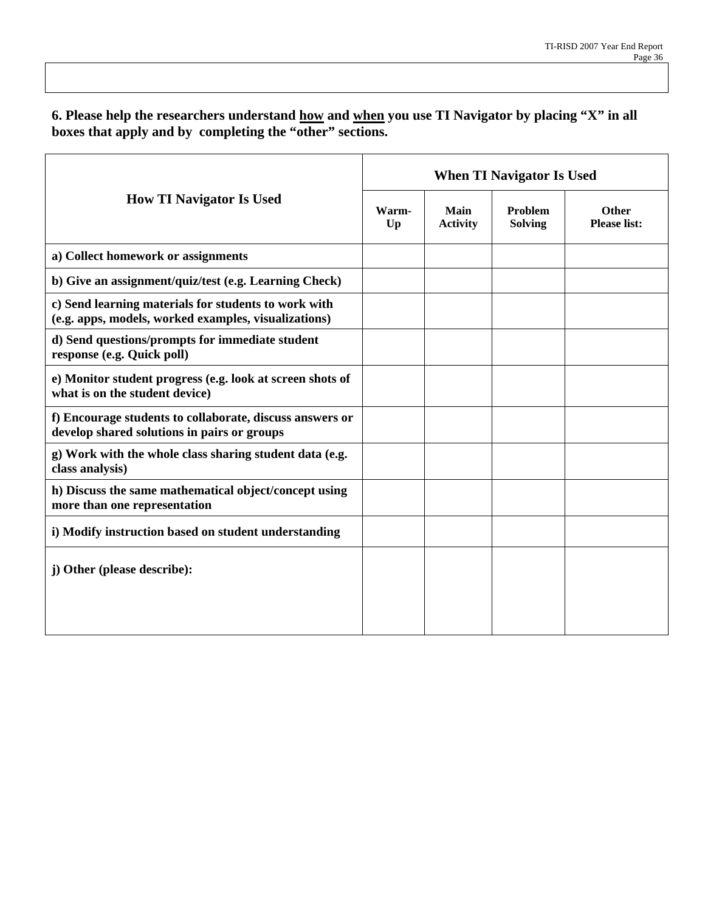**6. Please help the researchers understand how and when you use TI Navigator by placing "X" in all**  boxes that apply and by completing the "other" sections.

|                                                                                                              | <b>When TI Navigator Is Used</b> |                         |                           |                                     |  |  |  |
|--------------------------------------------------------------------------------------------------------------|----------------------------------|-------------------------|---------------------------|-------------------------------------|--|--|--|
| <b>How TI Navigator Is Used</b>                                                                              | Warm-<br>$U_{p}$                 | Main<br><b>Activity</b> | Problem<br><b>Solving</b> | <b>Other</b><br><b>Please list:</b> |  |  |  |
| a) Collect homework or assignments                                                                           |                                  |                         |                           |                                     |  |  |  |
| b) Give an assignment/quiz/test (e.g. Learning Check)                                                        |                                  |                         |                           |                                     |  |  |  |
| c) Send learning materials for students to work with<br>(e.g. apps, models, worked examples, visualizations) |                                  |                         |                           |                                     |  |  |  |
| d) Send questions/prompts for immediate student<br>response (e.g. Quick poll)                                |                                  |                         |                           |                                     |  |  |  |
| e) Monitor student progress (e.g. look at screen shots of<br>what is on the student device)                  |                                  |                         |                           |                                     |  |  |  |
| f) Encourage students to collaborate, discuss answers or<br>develop shared solutions in pairs or groups      |                                  |                         |                           |                                     |  |  |  |
| g) Work with the whole class sharing student data (e.g.<br>class analysis)                                   |                                  |                         |                           |                                     |  |  |  |
| h) Discuss the same mathematical object/concept using<br>more than one representation                        |                                  |                         |                           |                                     |  |  |  |
| i) Modify instruction based on student understanding                                                         |                                  |                         |                           |                                     |  |  |  |
| j) Other (please describe):                                                                                  |                                  |                         |                           |                                     |  |  |  |
|                                                                                                              |                                  |                         |                           |                                     |  |  |  |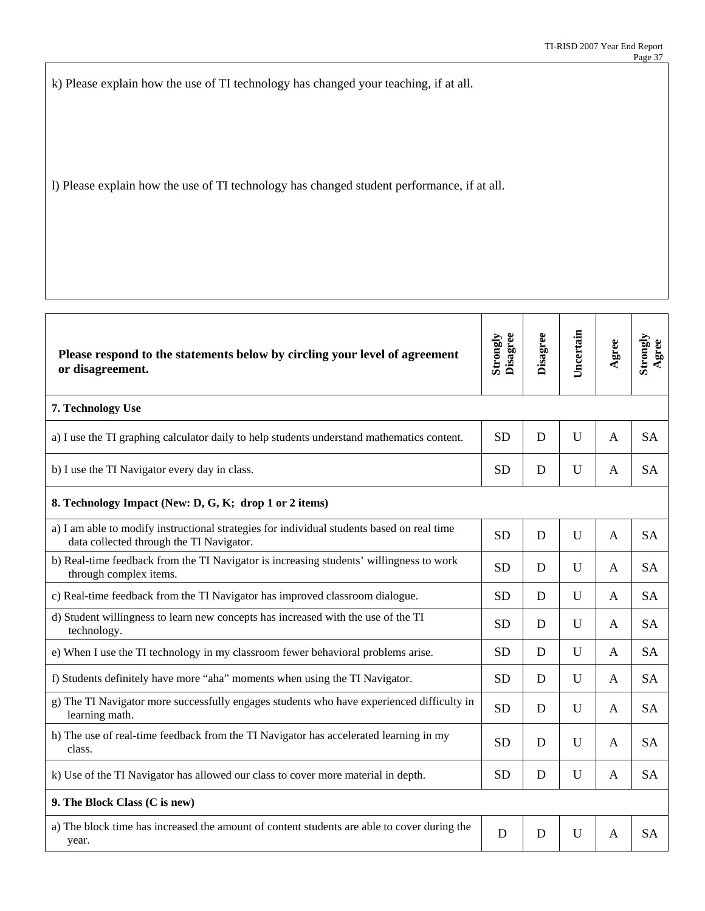k) Please explain how the use of TI technology has changed your teaching, if at all.

l) Please explain how the use of TI technology has changed student performance, if at all.

| Please respond to the statements below by circling your level of agreement<br>or disagreement.                                         | Disagree<br>Strongly | Disagree | Uncertain | gree         | Strongly<br>gree<br>∢ |
|----------------------------------------------------------------------------------------------------------------------------------------|----------------------|----------|-----------|--------------|-----------------------|
| 7. Technology Use                                                                                                                      |                      |          |           |              |                       |
| a) I use the TI graphing calculator daily to help students understand mathematics content.                                             | <b>SD</b>            | D        | U         | $\mathbf{A}$ | <b>SA</b>             |
| b) I use the TI Navigator every day in class.                                                                                          | <b>SD</b>            | D        | U         | A            | <b>SA</b>             |
| 8. Technology Impact (New: D, G, K; drop 1 or 2 items)                                                                                 |                      |          |           |              |                       |
| a) I am able to modify instructional strategies for individual students based on real time<br>data collected through the TI Navigator. | <b>SD</b>            | D        | U         | A            | <b>SA</b>             |
| b) Real-time feedback from the TI Navigator is increasing students' willingness to work<br>through complex items.                      | <b>SD</b>            | D        | U         | A            | <b>SA</b>             |
| c) Real-time feedback from the TI Navigator has improved classroom dialogue.                                                           | <b>SD</b>            | D        | U         | A            | <b>SA</b>             |
| d) Student willingness to learn new concepts has increased with the use of the TI<br>technology.                                       | <b>SD</b>            | D        | U         | A            | <b>SA</b>             |
| e) When I use the TI technology in my classroom fewer behavioral problems arise.                                                       | <b>SD</b>            | D        | U         | A            | <b>SA</b>             |
| f) Students definitely have more "aha" moments when using the TI Navigator.                                                            | <b>SD</b>            | D        | U         | A            | <b>SA</b>             |
| g) The TI Navigator more successfully engages students who have experienced difficulty in<br>learning math.                            | <b>SD</b>            | D        | U         | A            | <b>SA</b>             |
| h) The use of real-time feedback from the TI Navigator has accelerated learning in my<br>class.                                        | <b>SD</b>            | D        | U         | A            | <b>SA</b>             |
| k) Use of the TI Navigator has allowed our class to cover more material in depth.                                                      | <b>SD</b>            | D        | U         | A            | <b>SA</b>             |
| 9. The Block Class (C is new)                                                                                                          |                      |          |           |              |                       |
| a) The block time has increased the amount of content students are able to cover during the<br>year.                                   | D                    | D        | U         | A            | <b>SA</b>             |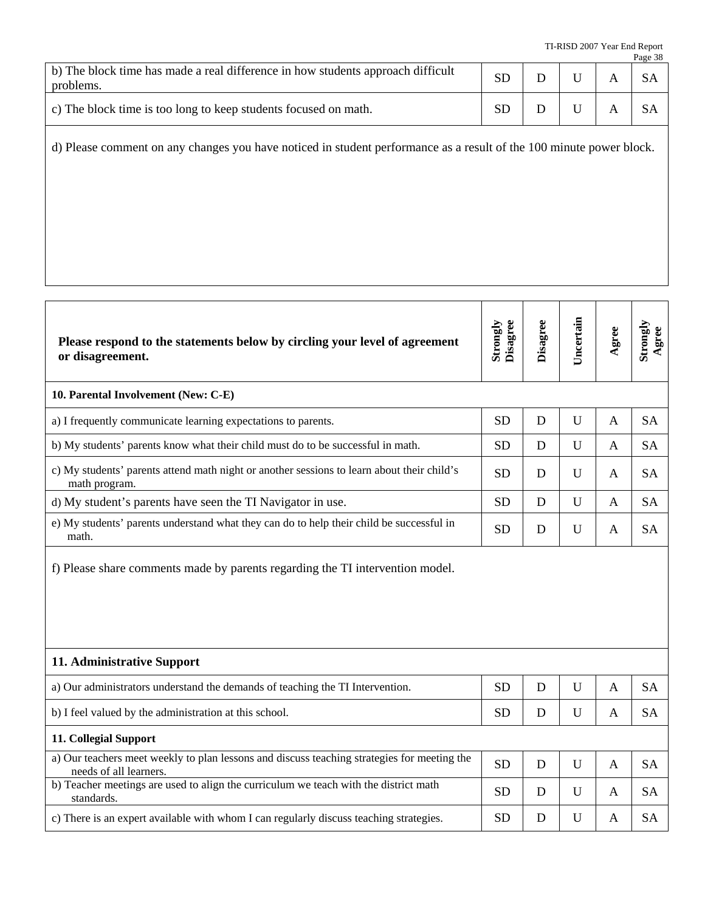|                                                                                              |           |  | Page 38   |
|----------------------------------------------------------------------------------------------|-----------|--|-----------|
| b) The block time has made a real difference in how students approach difficult<br>problems. | SD        |  | <b>SA</b> |
| c) The block time is too long to keep students focused on math.                              | <b>SD</b> |  |           |

d) Please comment on any changes you have noticed in student performance as a result of the 100 minute power block.

| Please respond to the statements below by circling your level of agreement<br>or disagreement.                        | Strongly<br>Disagree | Disagree | Uncertain | Agree        | Strongly<br>Agree |  |
|-----------------------------------------------------------------------------------------------------------------------|----------------------|----------|-----------|--------------|-------------------|--|
| 10. Parental Involvement (New: C-E)                                                                                   |                      |          |           |              |                   |  |
| a) I frequently communicate learning expectations to parents.                                                         | <b>SD</b>            | D        | U         | A            | <b>SA</b>         |  |
| b) My students' parents know what their child must do to be successful in math.                                       | <b>SD</b>            | D        | U         | $\mathbf{A}$ | <b>SA</b>         |  |
| c) My students' parents attend math night or another sessions to learn about their child's<br>math program.           | <b>SD</b>            | D        | U         | A            | <b>SA</b>         |  |
| d) My student's parents have seen the TI Navigator in use.                                                            | <b>SD</b>            | D        | U         | A            | <b>SA</b>         |  |
| e) My students' parents understand what they can do to help their child be successful in<br>math.                     | <b>SD</b>            | D        | U         | A            | <b>SA</b>         |  |
| f) Please share comments made by parents regarding the TI intervention model.                                         |                      |          |           |              |                   |  |
| 11. Administrative Support                                                                                            |                      |          |           |              |                   |  |
| a) Our administrators understand the demands of teaching the TI Intervention.                                         | <b>SD</b>            | D        | U         | $\mathbf{A}$ | <b>SA</b>         |  |
| b) I feel valued by the administration at this school.                                                                | <b>SD</b>            | D        | U         | $\mathbf{A}$ | <b>SA</b>         |  |
| 11. Collegial Support                                                                                                 |                      |          |           |              |                   |  |
| a) Our teachers meet weekly to plan lessons and discuss teaching strategies for meeting the<br>needs of all learners. | <b>SD</b>            | D        | U         | $\mathbf{A}$ | <b>SA</b>         |  |
| b) Teacher meetings are used to align the curriculum we teach with the district math<br>standards.                    | <b>SD</b>            | D        | U         | A            | <b>SA</b>         |  |
| c) There is an expert available with whom I can regularly discuss teaching strategies.                                | <b>SD</b>            | D        | U         | A            | <b>SA</b>         |  |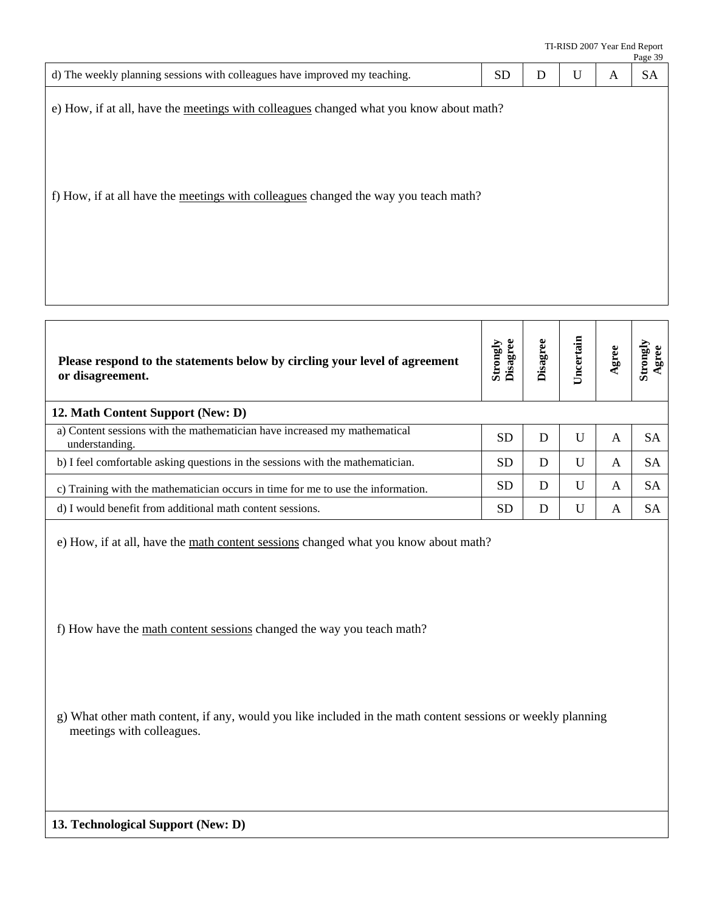|                                                                                                                                                                               |                      |                 |           |              | Page 39           |
|-------------------------------------------------------------------------------------------------------------------------------------------------------------------------------|----------------------|-----------------|-----------|--------------|-------------------|
| d) The weekly planning sessions with colleagues have improved my teaching.                                                                                                    | <b>SD</b>            | $\mathbf D$     | U         | $\mathbf{A}$ | <b>SA</b>         |
| e) How, if at all, have the meetings with colleagues changed what you know about math?<br>f) How, if at all have the meetings with colleagues changed the way you teach math? |                      |                 |           |              |                   |
|                                                                                                                                                                               |                      |                 |           |              |                   |
| Please respond to the statements below by circling your level of agreement<br>or disagreement.                                                                                | Strongly<br>Disagree | <b>Disagree</b> | Uncertain | Agree        | Strongly<br>Agree |
| 12. Math Content Support (New: D)                                                                                                                                             |                      |                 |           |              |                   |
| a) Content sessions with the mathematician have increased my mathematical<br>understanding.                                                                                   | <b>SD</b>            | D               | U         | $\mathbf{A}$ | <b>SA</b>         |
| b) I feel comfortable asking questions in the sessions with the mathematician.                                                                                                | <b>SD</b>            | D               | U         | $\mathbf{A}$ | <b>SA</b>         |
| c) Training with the mathematician occurs in time for me to use the information.                                                                                              | <b>SD</b>            | $\mathbf D$     | U         | A            | <b>SA</b>         |
| d) I would benefit from additional math content sessions.                                                                                                                     | <b>SD</b>            | D               | U         | A            | <b>SA</b>         |
| e) How, if at all, have the math content sessions changed what you know about math?<br>f) How have the math content sessions changed the way you teach math?                  |                      |                 |           |              |                   |
| g) What other math content, if any, would you like included in the math content sessions or weekly planning<br>meetings with colleagues.                                      |                      |                 |           |              |                   |
|                                                                                                                                                                               |                      |                 |           |              |                   |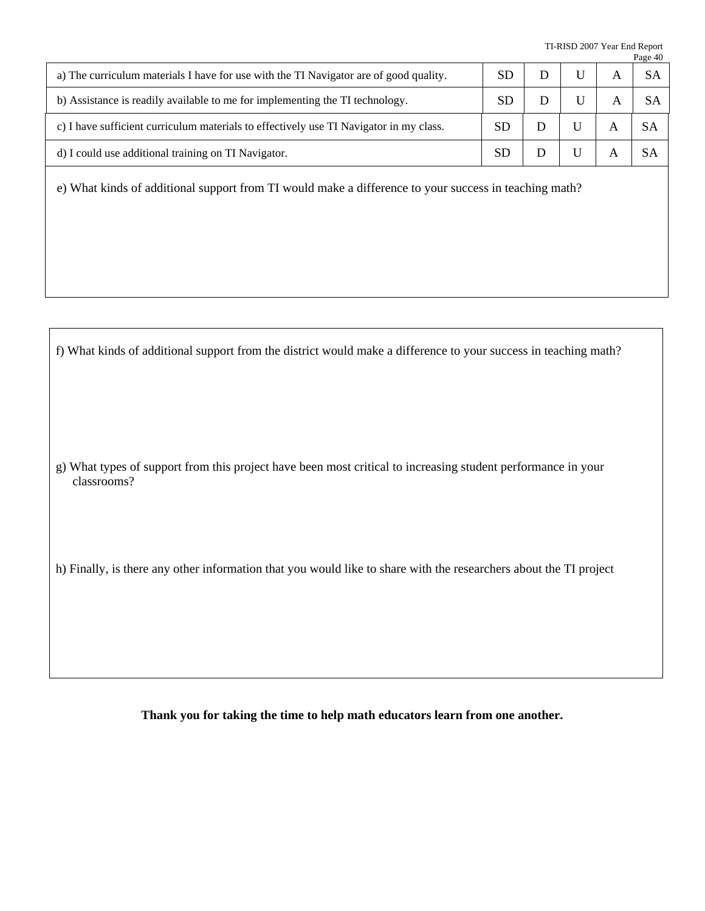TI-RISD 2007 Year End Report Page 40

|           |  | $\mathbf{u}_{\mathbf{p}}$ $\mathbf{v}$ |
|-----------|--|----------------------------------------|
|           |  |                                        |
|           |  |                                        |
| <b>SD</b> |  |                                        |
| <b>SD</b> |  |                                        |
|           |  |                                        |

e) What kinds of additional support from TI would make a difference to your success in teaching math?

f) What kinds of additional support from the district would make a difference to your success in teaching math?

g) What types of support from this project have been most critical to increasing student performance in your classrooms?

h) Finally, is there any other information that you would like to share with the researchers about the TI project

**Thank you for taking the time to help math educators learn from one another.**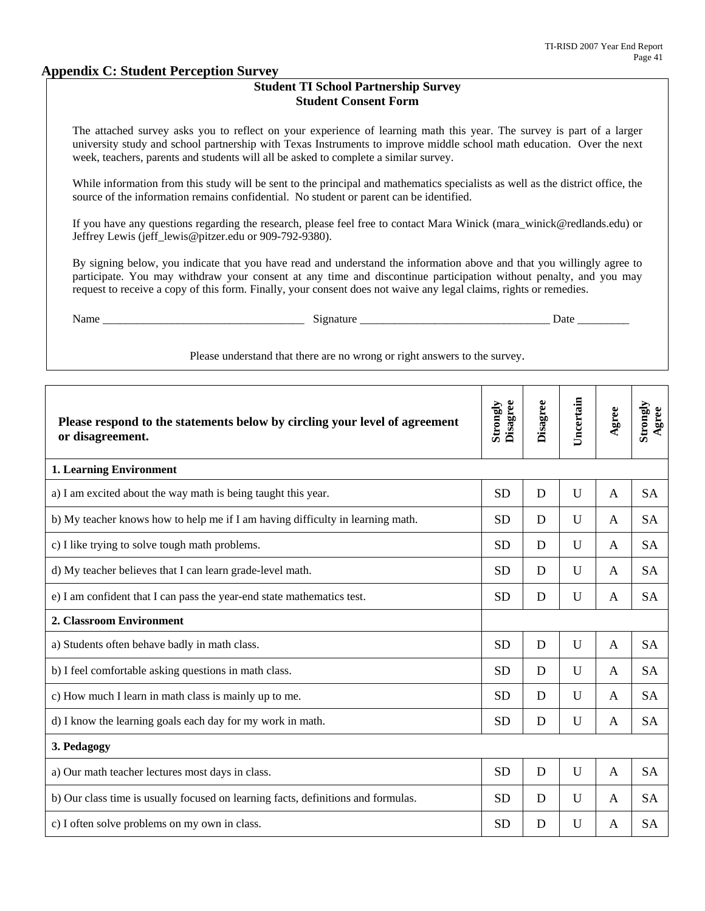#### **Appendix C: Student Perception Survey**

#### **Student TI School Partnership Survey Student Consent Form**

The attached survey asks you to reflect on your experience of learning math this year. The survey is part of a larger university study and school partnership with Texas Instruments to improve middle school math education. Over the next week, teachers, parents and students will all be asked to complete a similar survey.

While information from this study will be sent to the principal and mathematics specialists as well as the district office, the source of the information remains confidential. No student or parent can be identified.

If you have any questions regarding the research, please feel free to contact Mara Winick (mara\_winick@redlands.edu) or Jeffrey Lewis (jeff\_lewis@pitzer.edu or 909-792-9380).

By signing below, you indicate that you have read and understand the information above and that you willingly agree to participate. You may withdraw your consent at any time and discontinue participation without penalty, and you may request to receive a copy of this form. Finally, your consent does not waive any legal claims, rights or remedies.

| ______ | ________________ | - |
|--------|------------------|---|
|        |                  |   |

Please understand that there are no wrong or right answers to the survey.

| Please respond to the statements below by circling your level of agreement        | Disagree<br>Strongly | Disagree | Uncertain    | Agree        | Strongly<br>Agree |
|-----------------------------------------------------------------------------------|----------------------|----------|--------------|--------------|-------------------|
| or disagreement.                                                                  |                      |          |              |              |                   |
| <b>1. Learning Environment</b>                                                    |                      |          |              |              |                   |
| a) I am excited about the way math is being taught this year.                     | <b>SD</b>            | D        | $\mathbf{U}$ | $\mathsf{A}$ | <b>SA</b>         |
| b) My teacher knows how to help me if I am having difficulty in learning math.    | <b>SD</b>            | D        | U            | A            | <b>SA</b>         |
| c) I like trying to solve tough math problems.                                    | <b>SD</b>            | D        | $\mathbf{U}$ | A            | <b>SA</b>         |
| d) My teacher believes that I can learn grade-level math.                         | <b>SD</b>            | D        | U            | A            | <b>SA</b>         |
| e) I am confident that I can pass the year-end state mathematics test.            | <b>SD</b>            | D        | U            | A            | <b>SA</b>         |
| 2. Classroom Environment                                                          |                      |          |              |              |                   |
| a) Students often behave badly in math class.                                     | <b>SD</b>            | D        | $\mathbf U$  | A            | <b>SA</b>         |
| b) I feel comfortable asking questions in math class.                             | <b>SD</b>            | D        | U            | $\mathsf{A}$ | <b>SA</b>         |
| c) How much I learn in math class is mainly up to me.                             | <b>SD</b>            | D        | U            | A            | <b>SA</b>         |
| d) I know the learning goals each day for my work in math.                        | <b>SD</b>            | D        | U            | A            | <b>SA</b>         |
| 3. Pedagogy                                                                       |                      |          |              |              |                   |
| a) Our math teacher lectures most days in class.                                  | <b>SD</b>            | D        | $\mathbf{U}$ | A            | <b>SA</b>         |
| b) Our class time is usually focused on learning facts, definitions and formulas. | <b>SD</b>            | D        | U            | A            | <b>SA</b>         |
| c) I often solve problems on my own in class.                                     | <b>SD</b>            | D        | U            | A            | <b>SA</b>         |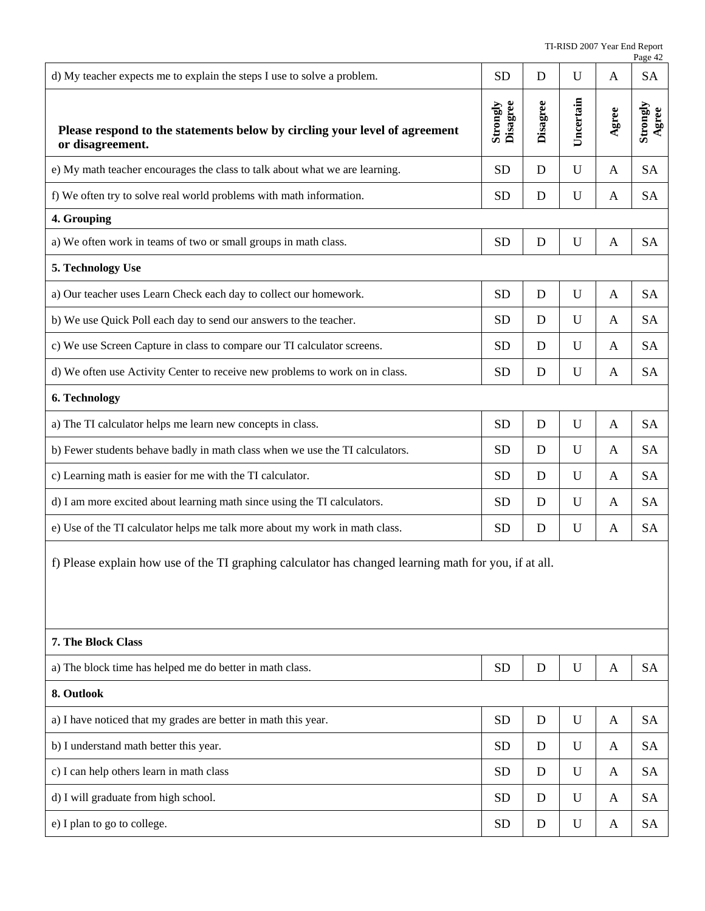|                                                                                                       |                      |          |             |       | Page 42           |
|-------------------------------------------------------------------------------------------------------|----------------------|----------|-------------|-------|-------------------|
| d) My teacher expects me to explain the steps I use to solve a problem.                               | <b>SD</b>            | D        | U           | A     | <b>SA</b>         |
| Please respond to the statements below by circling your level of agreement<br>or disagreement.        | Disagree<br>Strongly | Disagree | Uncertain   | Agree | Strongly<br>Agree |
| e) My math teacher encourages the class to talk about what we are learning.                           | <b>SD</b>            | D        | $\mathbf U$ | A     | <b>SA</b>         |
| f) We often try to solve real world problems with math information.                                   | <b>SD</b>            | D        | U           | A     | <b>SA</b>         |
| 4. Grouping                                                                                           |                      |          |             |       |                   |
| a) We often work in teams of two or small groups in math class.                                       | <b>SD</b>            | D        | U           | A     | <b>SA</b>         |
| 5. Technology Use                                                                                     |                      |          |             |       |                   |
| a) Our teacher uses Learn Check each day to collect our homework.                                     | <b>SD</b>            | D        | U           | A     | <b>SA</b>         |
| b) We use Quick Poll each day to send our answers to the teacher.                                     | <b>SD</b>            | D        | U           | A     | <b>SA</b>         |
| c) We use Screen Capture in class to compare our TI calculator screens.                               | <b>SD</b>            | D        | U           | A     | <b>SA</b>         |
| d) We often use Activity Center to receive new problems to work on in class.                          | <b>SD</b>            | D        | U           | A     | <b>SA</b>         |
| 6. Technology                                                                                         |                      |          |             |       |                   |
| a) The TI calculator helps me learn new concepts in class.                                            | <b>SD</b>            | D        | U           | A     | <b>SA</b>         |
| b) Fewer students behave badly in math class when we use the TI calculators.                          | <b>SD</b>            | D        | U           | A     | <b>SA</b>         |
| c) Learning math is easier for me with the TI calculator.                                             | <b>SD</b>            | D        | U           | A     | <b>SA</b>         |
| d) I am more excited about learning math since using the TI calculators.                              | <b>SD</b>            | D        | U           | A     | <b>SA</b>         |
| e) Use of the TI calculator helps me talk more about my work in math class.                           | <b>SD</b>            | D        | U           | A     | <b>SA</b>         |
| f) Please explain how use of the TI graphing calculator has changed learning math for you, if at all. |                      |          |             |       |                   |
| 7. The Block Class                                                                                    |                      |          |             |       |                   |
| a) The block time has helped me do better in math class.                                              | <b>SD</b>            | D        | $\mathbf U$ | A     | <b>SA</b>         |
| 8. Outlook                                                                                            |                      |          |             |       |                   |
| a) I have noticed that my grades are better in math this year.                                        | <b>SD</b>            | D        | $\mathbf U$ | A     | <b>SA</b>         |
| b) I understand math better this year.                                                                | <b>SD</b>            | D        | U           | A     | <b>SA</b>         |
| c) I can help others learn in math class                                                              | <b>SD</b>            | D        | U           | A     | <b>SA</b>         |
| d) I will graduate from high school.                                                                  | <b>SD</b>            | D        | U           | A     | <b>SA</b>         |
| e) I plan to go to college.                                                                           | <b>SD</b>            | D        | U           | A     | <b>SA</b>         |
|                                                                                                       |                      |          |             |       |                   |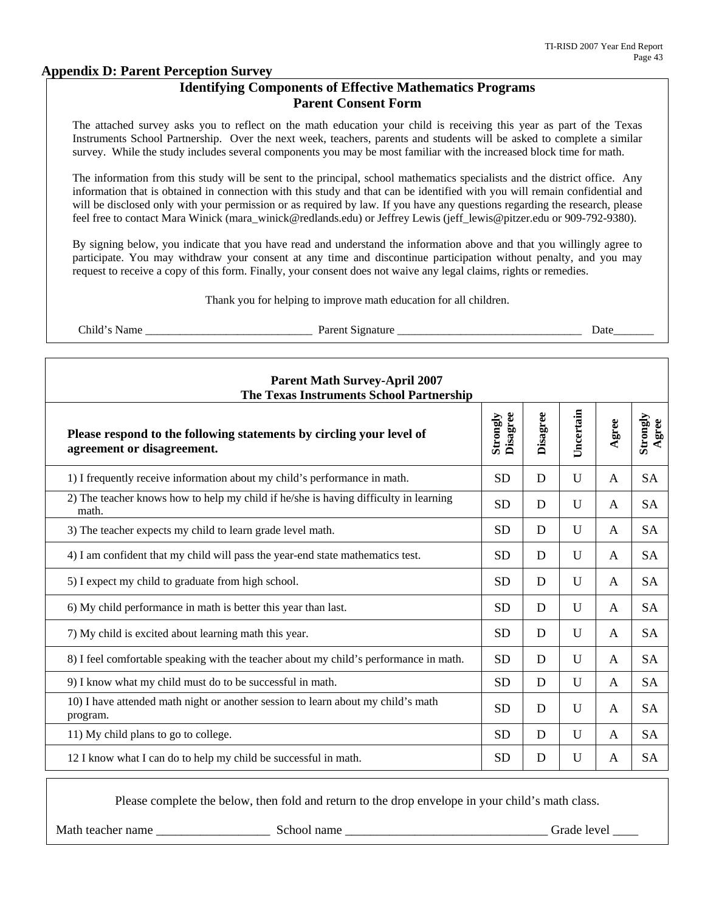#### **Appendix D: Parent Perception Survey**

#### **Identifying Components of Effective Mathematics Programs Parent Consent Form**

The attached survey asks you to reflect on the math education your child is receiving this year as part of the Texas Instruments School Partnership. Over the next week, teachers, parents and students will be asked to complete a similar survey. While the study includes several components you may be most familiar with the increased block time for math.

The information from this study will be sent to the principal, school mathematics specialists and the district office. Any information that is obtained in connection with this study and that can be identified with you will remain confidential and will be disclosed only with your permission or as required by law. If you have any questions regarding the research, please feel free to contact Mara Winick (mara\_winick@redlands.edu) or Jeffrey Lewis (jeff\_lewis@pitzer.edu or 909-792-9380).

By signing below, you indicate that you have read and understand the information above and that you willingly agree to participate. You may withdraw your consent at any time and discontinue participation without penalty, and you may request to receive a copy of this form. Finally, your consent does not waive any legal claims, rights or remedies.

Thank you for helping to improve math education for all children.

Child's Name \_\_\_\_\_\_\_\_\_\_\_\_\_\_\_\_\_\_\_\_\_\_\_\_\_\_\_\_\_ Parent Signature \_\_\_\_\_\_\_\_\_\_\_\_\_\_\_\_\_\_\_\_\_\_\_\_\_\_\_\_\_\_\_\_ Date\_\_\_\_\_\_\_

| <b>Parent Math Survey-April 2007</b><br>The Texas Instruments School Partnership                   |                      |          |           |              |                   |
|----------------------------------------------------------------------------------------------------|----------------------|----------|-----------|--------------|-------------------|
| Please respond to the following statements by circling your level of<br>agreement or disagreement. | Strongly<br>Disagree | Disagree | Uncertain | Agree        | Strongly<br>Agree |
| 1) I frequently receive information about my child's performance in math.                          | <b>SD</b>            | D        | U         | A            | <b>SA</b>         |
| 2) The teacher knows how to help my child if he/she is having difficulty in learning<br>math.      | <b>SD</b>            | D        | U         | A            | <b>SA</b>         |
| 3) The teacher expects my child to learn grade level math.                                         | <b>SD</b>            | D        | U         | A            | <b>SA</b>         |
| 4) I am confident that my child will pass the year-end state mathematics test.                     | <b>SD</b>            | D        | U         | $\mathsf{A}$ | <b>SA</b>         |
| 5) I expect my child to graduate from high school.                                                 | <b>SD</b>            | D        | U         | A            | <b>SA</b>         |
| 6) My child performance in math is better this year than last.                                     | <b>SD</b>            | D        | U         | A            | <b>SA</b>         |
| 7) My child is excited about learning math this year.                                              | <b>SD</b>            | D        | U         | A            | <b>SA</b>         |
| 8) I feel comfortable speaking with the teacher about my child's performance in math.              | <b>SD</b>            | D        | U         | A            | <b>SA</b>         |
| 9) I know what my child must do to be successful in math.                                          | <b>SD</b>            | D        | U         | $\mathsf{A}$ | <b>SA</b>         |
| 10) I have attended math night or another session to learn about my child's math<br>program.       | <b>SD</b>            | D        | U         | A            | <b>SA</b>         |
| 11) My child plans to go to college.                                                               | <b>SD</b>            | D        | U         | A            | <b>SA</b>         |
| 12 I know what I can do to help my child be successful in math.                                    | <b>SD</b>            | D        | U         | A            | <b>SA</b>         |

Please complete the below, then fold and return to the drop envelope in your child's math class.

Math teacher name \_\_\_\_\_\_\_\_\_\_\_\_\_\_\_\_\_\_ School name \_\_\_\_\_\_\_\_\_\_\_\_\_\_\_\_\_\_\_\_\_\_\_\_\_\_\_\_\_\_\_\_ Grade level \_\_\_\_